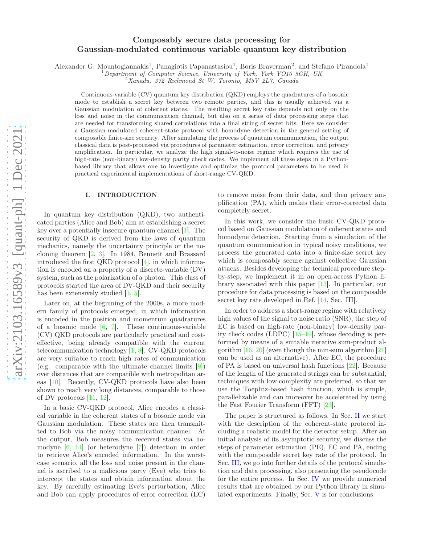# Composably secure data processing for Gaussian-modulated continuous variable quantum key distribution

Alexander G. Mountogiannakis<sup>1</sup>, Panagiotis Papanastasiou<sup>1</sup>, Boris Braverman<sup>2</sup>, and Stefano Pirandola<sup>1</sup>

<sup>1</sup>Department of Computer Science, University of York, York YO10 5GH, UK

 $2Xanadu$ , 372 Richmond St W, Toronto, M5V 2L7, Canada

Continuous-variable (CV) quantum key distribution (QKD) employs the quadratures of a bosonic mode to establish a secret key between two remote parties, and this is usually achieved via a Gaussian modulation of coherent states. The resulting secret key rate depends not only on the loss and noise in the communication channel, but also on a series of data processing steps that are needed for transforming shared correlations into a final string of secret bits. Here we consider a Gaussian-modulated coherent-state protocol with homodyne detection in the general setting of composable finite-size security. After simulating the process of quantum communication, the output classical data is post-processed via procedures of parameter estimation, error correction, and privacy amplification. In particular, we analyze the high signal-to-noise regime which requires the use of high-rate (non-binary) low-density parity check codes. We implement all these steps in a Pythonbased library that allows one to investigate and optimize the protocol parameters to be used in practical experimental implementations of short-range CV-QKD.

#### I. INTRODUCTION

In quantum key distribution (QKD), two authenticated parties (Alice and Bob) aim at establishing a secret key over a potentially insecure quantum channel [\[1](#page-18-0)]. The security of QKD is derived from the laws of quantum mechanics, namely the uncertainty principle or the nocloning theorem [\[2,](#page-18-1) [3\]](#page-18-2). In 1984, Bennett and Brassard introduced the first QKD protocol [\[4\]](#page-18-3), in which information is encoded on a property of a discrete-variable (DV) system, such as the polarization of a photon. This class of protocols started the area of DV-QKD and their security has been extensively studied [\[1,](#page-18-0) [5\]](#page-18-4).

Later on, at the beginning of the 2000s, a more modern family of protocols emerged, in which information is encoded in the position and momentum quadratures of a bosonic mode [\[6](#page-18-5), [7\]](#page-18-6). These continuous-variable (CV) QKD protocols are particularly practical and costeffective, being already compatible with the current telecommunication technology [\[1](#page-18-0), [8\]](#page-18-7). CV-QKD protocols are very suitable to reach high rates of communication (e.g. comparable with the ultimate channel limits [\[9](#page-18-8)]) over distances that are compatible with metropolitan areas [\[10\]](#page-19-0). Recently, CV-QKD protocols have also been shown to reach very long distances, comparable to those of DV protocols [\[11](#page-19-1), [12](#page-19-2)].

In a basic CV-QKD protocol, Alice encodes a classical variable in the coherent states of a bosonic mode via Gaussian modulation. These states are then transmitted to Bob via the noisy communication channel. At the output, Bob measures the received states via homodyne [\[6](#page-18-5), [11](#page-19-1)] (or heterodyne [\[7](#page-18-6)]) detection in order to retrieve Alice's encoded information. In the worstcase scenario, all the loss and noise present in the channel is ascribed to a malicious party (Eve) who tries to intercept the states and obtain information about the key. By carefully estimating Eve's perturbation, Alice and Bob can apply procedures of error correction (EC)

to remove noise from their data, and then privacy amplification (PA), which makes their error-corrected data completely secret.

In this work, we consider the basic CV-QKD protocol based on Gaussian modulation of coherent states and homodyne detection. Starting from a simulation of the quantum communication in typical noisy conditions, we process the generated data into a finite-size secret key which is composably secure against collective Gaussian attacks. Besides developing the technical procedure stepby-step, we implement it in an open-access Python library associated with this paper [\[13](#page-19-3)]. In particular, our procedure for data processing is based on the composable secret key rate developed in Ref. [\[14](#page-19-4), Sec. III].

In order to address a short-range regime with relatively high values of the signal to noise ratio (SNR), the step of EC is based on high-rate (non-binary) low-density parity check codes (LDPC) [\[15–](#page-19-5)[19\]](#page-19-6), whose decoding is performed by means of a suitable iterative sum-product algorithm  $[16, 20]$  $[16, 20]$  (even though the min-sum algorithm  $[21]$ ) can be used as an alternative). After EC, the procedure of PA is based on universal hash functions [\[22](#page-19-10)]. Because of the length of the generated strings can be substantial, techniques with low complexity are preferred, so that we use the Toeplitz-based hash function, which is simple, parallelizable and can moreover be accelerated by using the Fast Fourier Transform (FFT) [\[23\]](#page-19-11).

The paper is structured as follows. In Sec. [II](#page-1-0) we start with the description of the coherent-state protocol including a realistic model for the detector setup. After an initial analysis of its asymptotic security, we discuss the steps of parameter estimation (PE), EC and PA, ending with the composable secret key rate of the protocol. In Sec. [III,](#page-8-0) we go into further details of the protocol simulation and data processing, also presenting the pseudocode for the entire process. In Sec. [IV](#page-11-0) we provide numerical results that are obtained by our Python library in simulated experiments. Finally, Sec. [V](#page-13-0) is for conclusions.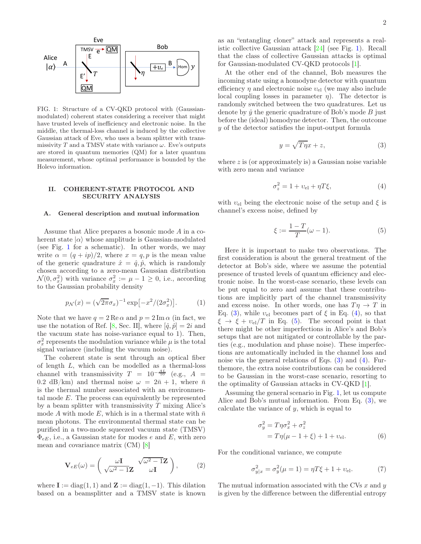

<span id="page-1-1"></span>FIG. 1: Structure of a CV-QKD protocol with (Gaussianmodulated) coherent states considering a receiver that might have trusted levels of inefficiency and electronic noise. In the middle, the thermal-loss channel is induced by the collective Gaussian attack of Eve, who uses a beam splitter with transmissivity T and a TMSV state with variance  $\omega$ . Eve's outputs are stored in quantum memories (QM) for a later quantum measurement, whose optimal performance is bounded by the Holevo information.

# <span id="page-1-0"></span>II. COHERENT-STATE PROTOCOL AND SECURITY ANALYSIS

#### A. General description and mutual information

Assume that Alice prepares a bosonic mode A in a coherent state  $|\alpha\rangle$  whose amplitude is Gaussian-modulated (see Fig. [1](#page-1-1) for a schematic). In other words, we may write  $\alpha = (q + ip)/2$ , where  $x = q, p$  is the mean value of the generic quadrature  $\hat{x} = \hat{q}, \hat{p}$ , which is randomly chosen according to a zero-mean Gaussian distribution  $\mathcal{N}(0, \sigma_x^2)$  with variance  $\sigma_x^2 := \mu - 1 \geq 0$ , i.e., according to the Gaussian probability density

$$
p_N(x) = (\sqrt{2\pi}\sigma_x)^{-1} \exp[-x^2/(2\sigma_x^2)].
$$
 (1)

Note that we have  $q = 2 \text{Re }\alpha$  and  $p = 2 \text{Im }\alpha$  (in fact, we use the notation of Ref. [\[8](#page-18-7), Sec. II], where  $[\hat{q}, \hat{p}] = 2i$  and the vacuum state has noise-variance equal to 1). Then,  $\sigma_x^2$  represents the modulation variance while  $\mu$  is the total signal variance (including the vacuum noise).

The coherent state is sent through an optical fiber of length L, which can be modelled as a thermal-loss channel with transmissivity  $T = 10^{-\frac{AL}{10}}$  (e.g.,  $A =$ 0.2 dB/km) and thermal noise  $\omega = 2\bar{n} + 1$ , where  $\bar{n}$ is the thermal number associated with an environmental mode E. The process can equivalently be represented by a beam splitter with transmissivity  $T$  mixing Alice's mode A with mode E, which is in a thermal state with  $\bar{n}$ mean photons. The environmental thermal state can be purified in a two-mode squeezed vacuum state (TMSV)  $\Phi_{eE}$ , i.e., a Gaussian state for modes e and E, with zero mean and covariance matrix (CM) [\[8\]](#page-18-7)

$$
\mathbf{V}_{eE}(\omega) = \begin{pmatrix} \omega \mathbf{I} & \sqrt{\omega^2 - 1} \mathbf{Z} \\ \sqrt{\omega^2 - 1} \mathbf{Z} & \omega \mathbf{I} \end{pmatrix}, \quad (2)
$$

where  $I := diag(1, 1)$  and  $\mathbf{Z} := diag(1, -1)$ . This dilation based on a beamsplitter and a TMSV state is known as an "entangling cloner" attack and represents a realistic collective Gaussian attack [\[24\]](#page-19-12) (see Fig. [1\)](#page-1-1). Recall that the class of collective Gaussian attacks is optimal for Gaussian-modulated CV-QKD protocols [\[1\]](#page-18-0).

At the other end of the channel, Bob measures the incoming state using a homodyne detector with quantum efficiency  $\eta$  and electronic noise  $v_{el}$  (we may also include local coupling losses in parameter  $\eta$ ). The detector is randomly switched between the two quadratures. Let us denote by  $\hat{y}$  the generic quadrature of Bob's mode B just before the (ideal) homodyne detector. Then, the outcome y of the detector satisfies the input-output formula

<span id="page-1-2"></span>
$$
y = \sqrt{T\eta}x + z,\tag{3}
$$

where  $z$  is (or approximately is) a Gaussian noise variable with zero mean and variance

<span id="page-1-3"></span>
$$
\sigma_z^2 = 1 + v_{\rm el} + \eta T \xi,\tag{4}
$$

with  $v_{el}$  being the electronic noise of the setup and  $\xi$  is channel's excess noise, defined by

<span id="page-1-4"></span>
$$
\xi := \frac{1 - T}{T} (\omega - 1). \tag{5}
$$

Here it is important to make two observations. The first consideration is about the general treatment of the detector at Bob's side, where we assume the potential presence of trusted levels of quantum efficiency and electronic noise. In the worst-case scenario, these levels can be put equal to zero and assume that these contributions are implicitly part of the channel transmissivity and excess noise. In other words, one has  $T\eta \to T$  in Eq. [\(3\)](#page-1-2), while  $v_{el}$  becomes part of  $\xi$  in Eq. [\(4\)](#page-1-3), so that  $\xi \rightarrow \xi + v_{el}/T$  in Eq. [\(5\)](#page-1-4). The second point is that there might be other imperfections in Alice's and Bob's setups that are not mitigated or controllable by the parties (e.g., modulation and phase noise). These imperfections are automatically included in the channel loss and noise via the general relations of Eqs.  $(3)$  and  $(4)$ . Furthemore, the extra noise contributions can be considered to be Gaussian in the worst-case scenario, resorting to the optimality of Gaussian attacks in CV-QKD [\[1\]](#page-18-0).

Assuming the general scenario in Fig. [1,](#page-1-1) let us compute Alice and Bob's mutual information. From Eq. [\(3\)](#page-1-2), we calculate the variance of  $y$ , which is equal to

$$
\sigma_y^2 = T\eta \sigma_x^2 + \sigma_z^2
$$
  
=  $T\eta(\mu - 1 + \xi) + 1 + \nu_{el}$ . (6)

For the conditional variance, we compute

$$
\sigma_{y|x}^2 = \sigma_y^2(\mu = 1) = \eta T \xi + 1 + \nu_{\text{el}}.\tag{7}
$$

The mutual information associated with the CVs  $x$  and  $y$ is given by the difference between the differential entropy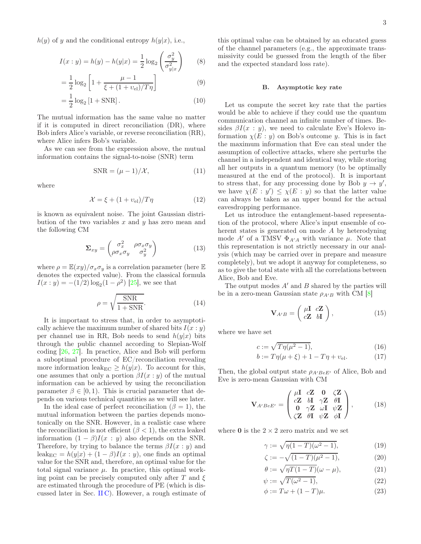$h(y)$  of y and the conditional entropy  $h(y|x)$ , i.e.,

$$
I(x: y) = h(y) - h(y|x) = \frac{1}{2} \log_2 \left(\frac{\sigma_y^2}{\sigma_{y|x}^2}\right) \qquad (8)
$$

$$
= \frac{1}{2} \log_2 \left[ 1 + \frac{\mu - 1}{\xi + (1 + v_{\text{el}})/T\eta} \right]
$$
(9)

$$
= \frac{1}{2}\log_2\left[1 + \text{SNR}\right].\tag{10}
$$

The mutual information has the same value no matter if it is computed in direct reconciliation (DR), where Bob infers Alice's variable, or reverse reconciliation (RR), where Alice infers Bob's variable.

As we can see from the expression above, the mutual information contains the signal-to-noise (SNR) term

$$
SNR = (\mu - 1) / \mathcal{X},\tag{11}
$$

where

$$
\mathcal{X} = \xi + (1 + v_{\rm el})/T\eta \tag{12}
$$

is known as equivalent noise. The joint Gaussian distribution of the two variables  $x$  and  $y$  has zero mean and the following CM

$$
\Sigma_{xy} = \begin{pmatrix} \sigma_x^2 & \rho \sigma_x \sigma_y \\ \rho \sigma_x \sigma_y & \sigma_y^2 \end{pmatrix} \tag{13}
$$

where  $\rho = \mathbb{E}(xy)/\sigma_x \sigma_y$  is a correlation parameter (here  $\mathbb{E}$ denotes the expected value). From the classical formula  $I(x : y) = -(1/2) \log_2(1 - \rho^2)$  [\[25\]](#page-19-13), we see that

<span id="page-2-0"></span>
$$
\rho = \sqrt{\frac{\text{SNR}}{1 + \text{SNR}}}.\tag{14}
$$

It is important to stress that, in order to asymptotically achieve the maximum number of shared bits  $I(x : y)$ per channel use in RR, Bob needs to send  $h(y|x)$  bits through the public channel according to Slepian-Wolf coding [\[26,](#page-19-14) [27](#page-19-15)]. In practice, Alice and Bob will perform a suboptimal procedure of EC/reconciliation revealing more information leak<sub>EC</sub>  $\geq h(y|x)$ . To account for this, one assumes that only a portion  $\beta I(x : y)$  of the mutual information can be achieved by using the reconciliation parameter  $\beta \in [0, 1)$ . This is crucial parameter that depends on various technical quantities as we will see later.

In the ideal case of perfect reconciliation ( $\beta = 1$ ), the mutual information between the parties depends monotonically on the SNR. However, in a realistic case where the reconciliation is not efficient  $(\beta < 1)$ , the extra leaked information  $(1 - \beta)I(x : y)$  also depends on the SNR. Therefore, by trying to balance the terms  $\beta I(x : y)$  and leak<sub>EC</sub> =  $h(y|x) + (1 - \beta)I(x : y)$ , one finds an optimal value for the SNR and, therefore, an optimal value for the total signal variance  $\mu$ . In practice, this optimal working point can be precisely computed only after T and  $\xi$ are estimated through the procedure of PE (which is discussed later in Sec. [II C\)](#page-3-0). However, a rough estimate of

this optimal value can be obtained by an educated guess of the channel parameters (e.g., the approximate transmissivity could be guessed from the length of the fiber and the expected standard loss rate).

## B. Asymptotic key rate

Let us compute the secret key rate that the parties would be able to achieve if they could use the quantum communication channel an infinite number of times. Besides  $\beta I(x : y)$ , we need to calculate Eve's Holevo information  $\chi(E: y)$  on Bob's outcome y. This is in fact the maximum information that Eve can steal under the assumption of collective attacks, where she perturbs the channel in a independent and identical way, while storing all her outputs in a quantum memory (to be optimally measured at the end of the protocol). It is important to stress that, for any processing done by Bob  $y \to y'$ , we have  $\chi(E: y') \leq \chi(E: y)$  so that the latter value can always be taken as an upper bound for the actual eavesdropping performance.

Let us introduce the entanglement-based representation of the protocol, where Alice's input ensemble of coherent states is generated on mode A by heterodyning mode A' of a TMSV  $\Phi_{A'A}$  with variance  $\mu$ . Note that this representation is not strictly necessary in our analysis (which may be carried over in prepare and measure completely), but we adopt it anyway for completeness, so as to give the total state with all the correlations between Alice, Bob and Eve.

The output modes  $A'$  and  $B$  shared by the parties will be in a zero-mean Gaussian state  $\rho_{A'B}$  with CM [\[8](#page-18-7)]

$$
\mathbf{V}_{A'B} = \begin{pmatrix} \mu \mathbf{I} & c\mathbf{Z} \\ c\mathbf{Z} & b\mathbf{I} \end{pmatrix},\tag{15}
$$

where we have set

$$
c := \sqrt{T\eta(\mu^2 - 1)},\tag{16}
$$

$$
b := T\eta(\mu + \xi) + 1 - T\eta + v_{\text{el}}.\tag{17}
$$

Then, the global output state  $\rho_{A'BeE'}$  of Alice, Bob and Eve is zero-mean Gaussian with CM

$$
\mathbf{V}_{A'BeE'} = \begin{pmatrix} \mu \mathbf{I} & c\mathbf{Z} & \mathbf{0} & \zeta \mathbf{Z} \\ c\mathbf{Z} & b\mathbf{I} & \gamma \mathbf{Z} & \theta \mathbf{I} \\ \mathbf{0} & \gamma \mathbf{Z} & \omega \mathbf{I} & \psi \mathbf{Z} \\ \zeta \mathbf{Z} & \theta \mathbf{I} & \psi \mathbf{Z} & \phi \mathbf{I} \end{pmatrix}, \quad (18)
$$

where  $0$  is the  $2 \times 2$  zero matrix and we set

$$
\gamma := \sqrt{\eta(1-T)(\omega^2 - 1)},\tag{19}
$$

$$
\zeta := -\sqrt{(1-T)(\mu^2 - 1)},\tag{20}
$$

$$
\theta := \sqrt{\eta T (1 - T)} (\omega - \mu), \tag{21}
$$

$$
\psi := \sqrt{T(\omega^2 - 1)},\tag{22}
$$

$$
\phi := T\omega + (1 - T)\mu. \tag{23}
$$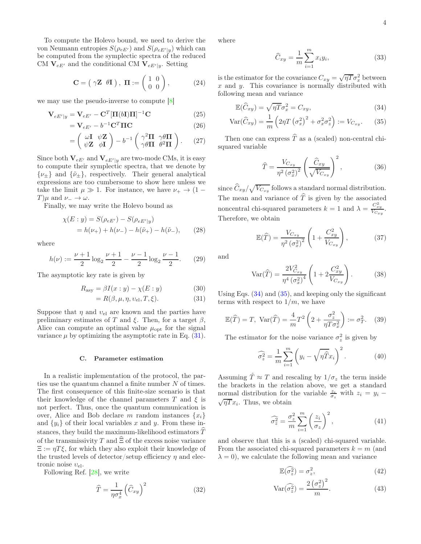To compute the Holevo bound, we need to derive the von Neumann entropies  $S(\rho_{eE'})$  and  $S(\rho_{eE'|y})$  which can be computed from the symplectic spectra of the reduced CM  $\overline{\mathbf{V}}_{eE'}$  and the conditional CM  $\overline{\mathbf{V}}_{eE'|y}$ . Setting

$$
\mathbf{C} = \left(\begin{array}{cc} \gamma \mathbf{Z} & \theta \mathbf{I} \end{array}\right), \ \mathbf{\Pi} := \left(\begin{array}{cc} 1 & 0 \\ 0 & 0 \end{array}\right),\tag{24}
$$

we may use the pseudo-inverse to compute [\[8](#page-18-7)]

$$
\mathbf{V}_{eE'|y} = \mathbf{V}_{eE'} - \mathbf{C}^T [\mathbf{\Pi}(b\mathbf{I})\mathbf{\Pi}]^{-1} \mathbf{C}
$$
 (25)

$$
= \mathbf{V}_{eE'} - b^{-1} \mathbf{C}^T \mathbf{\Pi} \mathbf{C}
$$
 (26)

$$
= \begin{pmatrix} \omega \mathbf{I} & \psi \mathbf{Z} \\ \psi \mathbf{Z} & \phi \mathbf{I} \end{pmatrix} - b^{-1} \begin{pmatrix} \gamma^2 \mathbf{\Pi} & \gamma \theta \mathbf{\Pi} \\ \gamma \theta \mathbf{\Pi} & \theta^2 \mathbf{\Pi} \end{pmatrix} . \tag{27}
$$

Since both  $\mathbf{V}_{eE'}$  and  $\mathbf{V}_{eE'|y}$  are two-mode CMs, it is easy to compute their symplectic spectra, that we denote by  $\{\nu_{\pm}\}\$ and  $\{\tilde{\nu}_{\pm}\}\$ , respectively. Their general analytical expressions are too cumbersome to show here unless we take the limit  $\mu \gg 1$ . For instance, we have  $\nu_+ \rightarrow (1 T\mu$  and  $\nu_{-} \rightarrow \omega$ .

Finally, we may write the Holevo bound as

$$
\chi(E: y) = S(\rho_{eE'}) - S(\rho_{eE'|y})
$$
  
=  $h(\nu_+) + h(\nu_-) - h(\tilde{\nu}_+) - h(\tilde{\nu}_-),$  (28)

where

$$
h(\nu) := \frac{\nu + 1}{2} \log_2 \frac{\nu + 1}{2} - \frac{\nu - 1}{2} \log_2 \frac{\nu - 1}{2}.
$$
 (29)

The asymptotic key rate is given by

$$
R_{\text{asy}} = \beta I(x:y) - \chi(E:y) \tag{30}
$$

$$
= R(\beta, \mu, \eta, \nu_{\rm el}, T, \xi). \tag{31}
$$

Suppose that  $\eta$  and  $v_{el}$  are known and the parties have preliminary estimates of T and  $\xi$ . Then, for a target  $\beta$ , Alice can compute an optimal value  $\mu_{\text{opt}}$  for the signal variance  $\mu$  by optimizing the asymptotic rate in Eq. [\(31\)](#page-3-1).

### <span id="page-3-0"></span>C. Parameter estimation

In a realistic implementation of the protocol, the parties use the quantum channel a finite number N of times. The first consequence of this finite-size scenario is that their knowledge of the channel parameters T and  $\xi$  is not perfect. Thus, once the quantum communication is over, Alice and Bob declare m random instances  $\{x_i\}$ and  $\{y_i\}$  of their local variables x and y. From these instances, they build the maximum-likelihood estimators  $\ddot{T}$ of the transmissivity T and  $\widehat{\Xi}$  of the excess noise variance  $\Xi := \eta T \xi$ , for which they also exploit their knowledge of the trusted levels of detector/setup efficiency  $\eta$  and electronic noise  $v_{el}$ .

Following Ref. [\[28](#page-19-16)], we write

$$
\widehat{T} = \frac{1}{\eta \sigma_x^4} \left( \widehat{C}_{xy} \right)^2 \tag{32}
$$

where

<span id="page-3-3"></span><span id="page-3-2"></span>
$$
\widehat{C}_{xy} = \frac{1}{m} \sum_{i=1}^{m} x_i y_i,
$$
\n(33)

is the estimator for the covariance  $C_{xy} = \sqrt{\eta T} \sigma_x^2$  between  $x$  and  $y$ . This covariance is normally distributed with following mean and variance

$$
\mathbb{E}(\widehat{C}_{xy}) = \sqrt{\eta T} \sigma_x^2 = C_{xy},\tag{34}
$$

$$
\text{Var}(\hat{C}_{xy}) = \frac{1}{m} \left( 2\eta T \left( \sigma_x^2 \right)^2 + \sigma_x^2 \sigma_z^2 \right) := V_{C_{xy}}.
$$
 (35)

Then one can express  $\widehat{T}$  as a (scaled) non-central chisquared variable

$$
\widehat{T} = \frac{V_{C_{xy}}}{\eta^2 \left(\sigma_x^2\right)^2} \left(\frac{\widehat{C}_{xy}}{\sqrt{V_{C_{xy}}}}\right)^2,\tag{36}
$$

since  $\widehat{C}_{xy}/\sqrt{V_{C_{xy}}}$  follows a standard normal distribution. The mean and variance of  $\hat{T}$  is given by the associated noncentral chi-squared parameters  $k = 1$  and  $\lambda = \frac{C_{xy}^2}{V_{Cxy}}$ . Therefore, we obtain

$$
\mathbb{E}(\widehat{T}) = \frac{V_{C_{xy}}}{\eta^2 \left(\sigma_x^2\right)^2} \left(1 + \frac{C_{xy}^2}{V_{C_{xy}}}\right),\tag{37}
$$

and

$$
\text{Var}(\hat{T}) = \frac{2V_{C_{xy}}^2}{\eta^4 \left(\sigma_x^2\right)^4} \left(1 + 2\frac{C_{xy}^2}{V_{C_{xy}}}\right). \tag{38}
$$

<span id="page-3-1"></span>Using Eqs. [\(34\)](#page-3-2) and [\(35\)](#page-3-3), and keeping only the significant terms with respect to  $1/m$ , we have

<span id="page-3-4"></span>
$$
\mathbb{E}(\widehat{T}) = T, \operatorname{Var}(\widehat{T}) = \frac{4}{m} T^2 \left( 2 + \frac{\sigma_z^2}{\eta T \sigma_x^2} \right) := \sigma_T^2. \tag{39}
$$

The estimator for the noise variance  $\sigma_z^2$  is given by

$$
\widehat{\sigma}_z^2 = \frac{1}{m} \sum_{i=1}^m \left( y_i - \sqrt{\eta} \widehat{T} x_i \right)^2.
$$
 (40)

Assuming  $\hat{T} \approx T$  and rescaling by  $1/\sigma_z$  the term inside the brackets in the relation above, we get a standard normal distribution for the variable  $\frac{z_i}{\sigma_z}$  with  $z_i = y_i$  –  $\sqrt{\eta Tx_i}$ . Thus, we obtain

$$
\widehat{\sigma_z^2} = \frac{\sigma_z^2}{m} \sum_{i=1}^m \left(\frac{z_i}{\sigma_z}\right)^2,\tag{41}
$$

and observe that this is a (scaled) chi-squared variable. From the associated chi-squared parameters  $k = m$  (and  $\lambda = 0$ , we calculate the following mean and variance

$$
\mathbb{E}(\widehat{\sigma}_z^2) = \sigma_z^2,\tag{42}
$$

$$
Var(\widehat{\sigma_z^2}) = \frac{2(\sigma_z^2)^2}{m}.
$$
\n(43)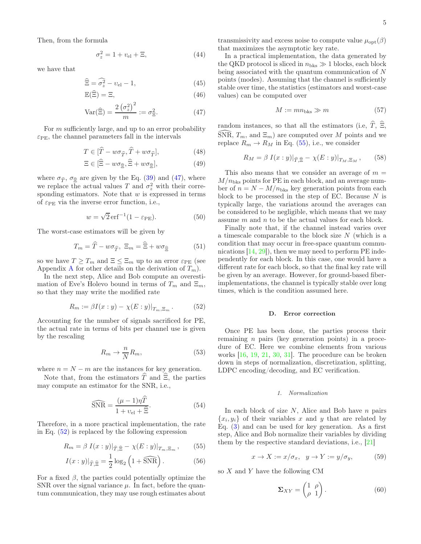Then, from the formula

$$
\sigma_z^2 = 1 + v_{\rm el} + \Xi,\tag{44}
$$

we have that

$$
\widehat{\Xi} = \widehat{\sigma_z^2} - v_{\rm el} - 1,\tag{45}
$$

$$
\mathbb{E}(\widehat{\Xi}) = \Xi,\tag{46}
$$

$$
\text{Var}(\widehat{\Xi}) = \frac{2\left(\sigma_z^2\right)^2}{m} := \sigma_{\Xi}^2. \tag{47}
$$

For *m* sufficiently large, and up to an error probability  $\varepsilon_{\text{PE}}$ , the channel parameters fall in the intervals

$$
T \in [\hat{T} - w\sigma_{\hat{T}}, \hat{T} + w\sigma_{\hat{T}}], \tag{48}
$$

$$
\Xi \in [\widehat{\Xi} - w\sigma_{\widehat{\Xi}}, \widehat{\Xi} + w\sigma_{\widehat{\Xi}}],\tag{49}
$$

where  $\sigma_{\hat{T}}$ ,  $\sigma_{\hat{\Xi}}$  are given by the Eq. [\(39\)](#page-3-4) and [\(47\)](#page-4-0), where we replace the actual values T and  $\sigma_z^2$  with their corresponding estimators. Note that  $w$  is expressed in terms of  $\varepsilon_{\text{PE}}$  via the inverse error function, i.e.,

<span id="page-4-8"></span>
$$
w = \sqrt{2} \,\mathrm{erf}^{-1} (1 - \varepsilon_{\mathrm{PE}}). \tag{50}
$$

The worst-case estimators will be given by

<span id="page-4-7"></span>
$$
T_m = \hat{T} - w\sigma_{\hat{T}}, \ \Xi_m = \hat{\Xi} + w\sigma_{\hat{\Xi}} \tag{51}
$$

so we have  $T \geq T_m$  and  $\Xi \leq \Xi_m$  up to an error  $\varepsilon_{\text{PE}}$  (see [A](#page-14-0)ppendix A for other details on the derivation of  $T_m$ ).

In the next step, Alice and Bob compute an overestimation of Eve's Holevo bound in terms of  $T_m$  and  $\Xi_m$ , so that they may write the modified rate

<span id="page-4-1"></span>
$$
R_m := \beta I(x : y) - \chi(E : y)|_{T_m, \Xi_m}.
$$
 (52)

Accounting for the number of signals sacrificed for PE, the actual rate in terms of bits per channel use is given by the rescaling

$$
R_m \to \frac{n}{N} R_m,\tag{53}
$$

where  $n = N - m$  are the instances for key generation.

Note that, from the estimators  $\widehat{T}$  and  $\widehat{\Xi}$ , the parties may compute an estimator for the SNR, i.e.,

<span id="page-4-3"></span>
$$
\widehat{\text{SNR}} = \frac{(\mu - 1)\eta T}{1 + v_{\text{el}} + \widehat{\Xi}}.\tag{54}
$$

Therefore, in a more practical implementation, the rate in Eq. [\(52\)](#page-4-1) is replaced by the following expression

$$
R_m = \beta I(x:y)|_{\widehat{T}, \widehat{\Xi}} - \chi(E:y)|_{T_m, \Xi_m}, \qquad (55)
$$

$$
I(x:y)|_{\widehat{T},\widehat{\Xi}} = \frac{1}{2}\log_2\left(1+\widehat{\text{SNR}}\right). \tag{56}
$$

For a fixed  $\beta$ , the parties could potentially optimize the SNR over the signal variance  $\mu$ . In fact, before the quantum communication, they may use rough estimates about

transmissivity and excess noise to compute value  $\mu_{\text{opt}}(\beta)$ that maximizes the asymptotic key rate.

In a practical implementation, the data generated by the QKD protocol is sliced in  $n_{\text{bks}} \gg 1$  blocks, each block being associated with the quantum communication of N points (modes). Assuming that the channel is sufficiently stable over time, the statistics (estimators and worst-case values) can be computed over

$$
M := mn_{\text{bks}} \gg m \tag{57}
$$

<span id="page-4-0"></span>random instances, so that all the estimators (i.e,  $\hat{T}$ ,  $\hat{\Xi}$ , SNR,  $T_m$ , and  $\Xi_m$ ) are computed over M points and we replace  $R_m \to R_M$  in Eq. [\(55\)](#page-4-2), i.e., we consider

<span id="page-4-6"></span>
$$
R_M = \beta I(x:y)|_{\widehat{T}, \widehat{\Xi}} - \chi(E:y)|_{T_M, \Xi_M}, \qquad (58)
$$

This also means that we consider an average of  $m =$  $M/n_{\text{bks}}$  points for PE in each block, and an average number of  $n = N - M/n_{\text{bks}}$  key generation points from each block to be processed in the step of EC. Because  $N$  is typically large, the variations around the averages can be considered to be negligible, which means that we may assume m and n to be the actual values for each block.

Finally note that, if the channel instead varies over a timescale comparable to the block size N (which is a condition that may occur in free-space quantum communications  $[14, 29]$  $[14, 29]$  $[14, 29]$ , then we may need to perform PE independently for each block. In this case, one would have a different rate for each block, so that the final key rate will be given by an average. However, for ground-based fiberimplementations, the channel is typically stable over long times, which is the condition assumed here.

## <span id="page-4-9"></span>D. Error correction

Once PE has been done, the parties process their remaining n pairs (key generation points) in a procedure of EC. Here we combine elements from various works [\[16](#page-19-7), [19,](#page-19-6) [21,](#page-19-9) [30,](#page-19-18) [31](#page-19-19)]. The procedure can be broken down in steps of normalization, discretization, splitting, LDPC encoding/decoding, and EC verification.

## 1. Normalization

In each block of size  $N$ , Alice and Bob have  $n$  pairs  $\{x_i, y_i\}$  of their variables x and y that are related by Eq. [\(3\)](#page-1-2) and can be used for key generation. As a first step, Alice and Bob normalize their variables by dividing them by the respective standard deviations, i.e., [\[21](#page-19-9)]

<span id="page-4-4"></span>
$$
x \to X := x/\sigma_x, \quad y \to Y := y/\sigma_y,\tag{59}
$$

<span id="page-4-5"></span><span id="page-4-2"></span>so X and Y have the following CM

$$
\Sigma_{XY} = \begin{pmatrix} 1 & \rho \\ \rho & 1 \end{pmatrix} . \tag{60}
$$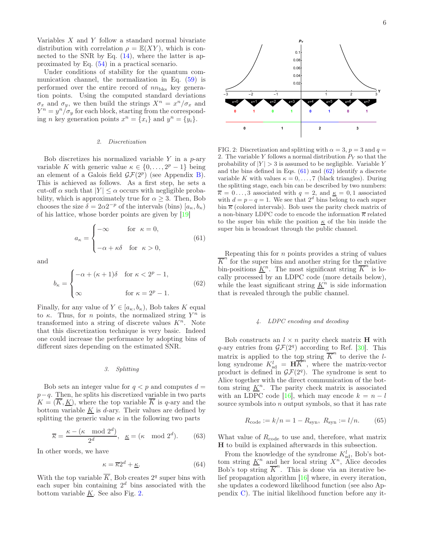Variables X and Y follow a standard normal bivariate distribution with correlation  $\rho = \mathbb{E}(XY)$ , which is connected to the SNR by Eq.  $(14)$ , where the latter is approximated by Eq. [\(54\)](#page-4-3) in a practical scenario.

Under conditions of stability for the quantum communication channel, the normalization in Eq. [\(59\)](#page-4-4) is performed over the entire record of  $nn_{\text{bks}}$  key generation points. Using the computed standard deviations  $\sigma_x$  and  $\sigma_y$ , we then build the strings  $X^n = x^n/\sigma_x$  and  $Y^n = y^n / \sigma_y$  for each block, starting from the corresponding *n* key generation points  $x^n = \{x_i\}$  and  $y^n = \{y_i\}.$ 

### 2. Discretization

Bob discretizes his normalized variable  $Y$  in a  $p$ -ary variable K with generic value  $\kappa \in \{0, \ldots, 2^p - 1\}$  being an element of a Galois field  $\mathcal{GF}(2^p)$  (see Appendix [B\)](#page-14-1). This is achieved as follows. As a first step, he sets a cut-off  $\alpha$  such that  $|Y| \leq \alpha$  occurs with negligible probability, which is approximately true for  $\alpha \geq 3$ . Then, Bob chooses the size  $\delta = 2\alpha 2^{-p}$  of the intervals (bins)  $[a_{\kappa}, b_{\kappa})$ of his lattice, whose border points are given by [\[19\]](#page-19-6)

<span id="page-5-1"></span>
$$
a_{\kappa} = \begin{cases} -\infty & \text{for } \kappa = 0, \\ -\alpha + \kappa \delta & \text{for } \kappa > 0, \end{cases}
$$
(61)

and

<span id="page-5-2"></span>
$$
b_{\kappa} = \begin{cases} -\alpha + (\kappa + 1)\delta & \text{for } \kappa < 2^p - 1, \\ \infty & \text{for } \kappa = 2^p - 1. \end{cases}
$$
(62)

Finally, for any value of  $Y \in [a_{\kappa}, b_{\kappa})$ , Bob takes K equal to  $\kappa$ . Thus, for *n* points, the normalized string  $Y^n$  is transformed into a string of discrete values  $K<sup>n</sup>$ . Note that this discretization technique is very basic. Indeed one could increase the performance by adopting bins of different sizes depending on the estimated SNR.

## 3. Splitting

Bob sets an integer value for  $q < p$  and computes  $d =$  $p-q$ . Then, he splits his discretized variable in two parts  $K = (\overline{K}, \underline{K})$ , where the top variable  $\overline{K}$  is q-ary and the bottom variable  $K$  is d-ary. Their values are defined by splitting the generic value  $\kappa$  in the following two parts

<span id="page-5-3"></span>
$$
\overline{\kappa} = \frac{\kappa - (\kappa \mod 2^d)}{2^d}, \ \ \underline{\kappa} = (\kappa \mod 2^d). \tag{63}
$$

In other words, we have

$$
\kappa = \overline{\kappa}2^d + \underline{\kappa}.\tag{64}
$$

With the top variable  $\overline{K}$ , Bob creates  $2^q$  super bins with each super bin containing  $2^d$  bins associated with the bottom variable  $K$ . See also Fig. [2.](#page-5-0)



<span id="page-5-0"></span>FIG. 2: Discretization and splitting with  $\alpha = 3$ ,  $p = 3$  and  $q =$ 2. The variable Y follows a normal distribution  $P<sub>Y</sub>$  so that the probability of  $|Y| > 3$  is assumed to be negligible. Variable Y and the bins defined in Eqs. [\(61\)](#page-5-1) and [\(62\)](#page-5-2) identify a discrete variable K with values  $\kappa = 0, \ldots, 7$  (black triangles). During the splitting stage, each bin can be described by two numbers:  $\overline{\kappa} = 0 \ldots, 3$  associated with  $q = 2$ , and  $\underline{\kappa} = 0, 1$  associated with  $d = p - q = 1$ . We see that  $2^d$  bins belong to each super bin  $\overline{\kappa}$  (colored intervals). Bob uses the parity check matrix of a non-binary LDPC code to encode the information  $\overline{\kappa}$  related to the super bin while the position  $\kappa$  of the bin inside the super bin is broadcast through the public channel.

Repeating this for  $n$  points provides a string of values  $\overline{K}^n$  for the super bins and another string for the relative bin-positions  $\underline{K}^n$ . The most significant string  $\overline{K}^n$  is locally processed by an LDPC code (more details below), while the least significant string  $\underline{K}^n$  is side information that is revealed through the public channel.

# 4. LDPC encoding and decoding

Bob constructs an  $l \times n$  parity check matrix **H** with  $q$ -ary entries from  $\mathcal{GF}(2^q)$  according to Ref. [\[30](#page-19-18)]. This matrix is applied to the top string  $\overline{K}^n$  to derive the llong syndrome  $K_{sd}^l = \mathbf{H}\overline{K}^n$ , where the matrix-vector product is defined in  $\mathcal{GF}(2^q)$ . The syndrome is sent to Alice together with the direct communication of the bottom string  $\underline{K}^n$ . The parity check matrix is associated with an LDPC code [\[16](#page-19-7)], which may encode  $k = n - l$ source symbols into *n* output symbols, so that it has rate

$$
R_{\text{code}} := k/n = 1 - R_{\text{syn}}, R_{\text{syn}} := l/n.
$$
 (65)

What value of  $R_{code}$  to use and, therefore, what matrix H to build is explained afterwards in this subsection.

From the knowledge of the syndrome  $K_{sd}^l$ , Bob's bottom string  $\underline{K}^n$  and her local string  $X^n$ , Alice decodes Bob's top string  $\overline{K}^n$ . This is done via an iterative belief propagation algorithm [\[16\]](#page-19-7) where, in every iteration, she updates a codeword likelihood function (see also Appendix [C\)](#page-15-0). The initial likelihood function before any it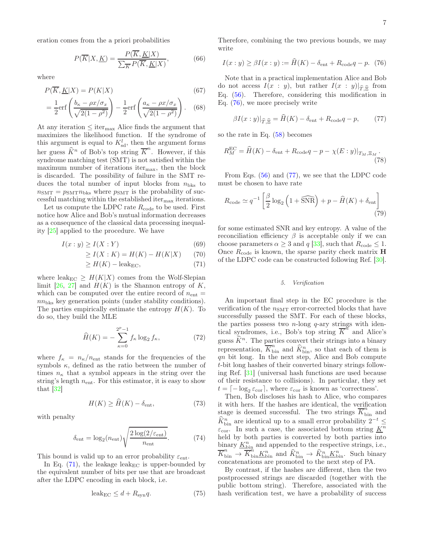eration comes from the a priori probabilities

<span id="page-6-8"></span>
$$
P(\overline{K}|X,\underline{K}) = \frac{P(\overline{K},\underline{K}|X)}{\sum_{\overline{K}} P(\overline{K},\underline{K}|X)},\tag{66}
$$

where

$$
P(\overline{K}, \underline{K}|X) = P(K|X)
$$
\n
$$
(67)
$$
\n
$$
\begin{pmatrix} 1 & 0 & -\alpha x/\sigma \\ 0 & 0 & \alpha x/\sigma \end{pmatrix}
$$

$$
= \frac{1}{2} \text{erf}\left(\frac{b_{\kappa} - \rho x/\sigma_x}{\sqrt{2(1-\rho^2)}}\right) - \frac{1}{2} \text{erf}\left(\frac{a_{\kappa} - \rho x/\sigma_x}{\sqrt{2(1-\rho^2)}}\right). \quad (68)
$$

At any iteration  $\leq$  iter<sub>max</sub> Alice finds the argument that maximizes the likelihood function. If the syndrome of this argument is equal to  $K<sub>sd</sub><sup>l</sup>$ , then the argument forms her guess  $\widehat{K}^n$  of Bob's top string  $\overline{K}^n$ . However, if this syndrome matching test (SMT) is not satisfied within the maximum number of iterations iter<sub>max</sub>, then the block is discarded. The possibility of failure in the SMT reduces the total number of input blocks from  $n_{\text{bks}}$  to  $n_{\text{SMT}} = p_{\text{SMT}} n_{\text{bks}}$  where  $p_{\text{SMT}}$  is the probability of successful matching within the established iter $_{\text{max}}$  iterations.

Let us compute the LDPC rate  $R_{code}$  to be used. First notice how Alice and Bob's mutual information decreases as a consequence of the classical data processing inequality [\[25\]](#page-19-13) applied to the procedure. We have

$$
I(x:y) \ge I(X:Y) \tag{69}
$$

$$
\ge I(X:K) = H(K) - H(K|X) \tag{70}
$$

$$
\geq H(K) - \text{leak}_{\text{EC}},\tag{71}
$$

where leak<sub>EC</sub>  $\geq H(K|X)$  comes from the Wolf-Slepian limit [\[26,](#page-19-14) [27\]](#page-19-15) and  $H(K)$  is the Shannon entropy of K, which can be computed over the entire record of  $n_{\text{ent}} =$  $nn_{\text{bks}}$  key generation points (under stability conditions). The parties empirically estimate the entropy  $H(K)$ . To do so, they build the MLE

$$
\widehat{H}(K) = -\sum_{\kappa=0}^{2^p-1} f_\kappa \log_2 f_\kappa,\tag{72}
$$

where  $f_{\kappa} = n_{\kappa}/n_{\text{ent}}$  stands for the frequencies of the symbols  $\kappa$ , defined as the ratio between the number of times  $n_{\kappa}$  that a symbol appears in the string over the string's length  $n_{\text{ent}}$ . For this estimator, it is easy to show that [\[32](#page-19-20)]

<span id="page-6-3"></span>
$$
H(K) \ge \dot{H}(K) - \delta_{\text{ent}},\tag{73}
$$

with penalty

<span id="page-6-5"></span>
$$
\delta_{\text{ent}} = \log_2(n_{\text{ent}}) \sqrt{\frac{2 \log(2/\varepsilon_{\text{ent}})}{n_{\text{ent}}}}.
$$
 (74)

This bound is valid up to an error probability  $\varepsilon_{\text{ent}}$ .

In Eq.  $(71)$ , the leakage leak<sub>EC</sub> is upper-bounded by the equivalent number of bits per use that are broadcast after the LDPC encoding in each block, i.e.

$$
leak_{EC} \le d + R_{syn}q. \tag{75}
$$

Therefore, combining the two previous bounds, we may write

<span id="page-6-1"></span>
$$
I(x:y) \geq \beta I(x:y) := \widehat{H}(K) - \delta_{\text{ent}} + R_{\text{code}}q - p. \tag{76}
$$

<span id="page-6-9"></span><span id="page-6-7"></span>Note that in a practical implementation Alice and Bob do not access  $I(x : y)$ , but rather  $I(x : y)|_{\widehat{T}, \widehat{\Xi}}$  from Eq. [\(56\)](#page-4-5). Therefore, considering this modification in Eq. [\(76\)](#page-6-1), we more precisely write

<span id="page-6-4"></span><span id="page-6-2"></span>
$$
\beta I(x:y)|_{\widehat{T},\widehat{\Xi}} = H(K) - \delta_{\text{ent}} + R_{\text{code}}q - p,\qquad(77)
$$

so the rate in Eq. [\(58\)](#page-4-6) becomes

$$
R_M^{\text{EC}} = \widehat{H}(K) - \delta_{\text{ent}} + R_{\text{code}}q - p - \chi(E:y)|_{T_M, \Xi_M}.
$$
\n(78)

From Eqs. [\(56\)](#page-4-5) and [\(77\)](#page-6-2), we see that the LDPC code must be chosen to have rate

$$
R_{\text{code}} \simeq q^{-1} \left[ \frac{\beta}{2} \log_2 \left( 1 + \widehat{\text{SNR}} \right) + p - \widehat{H}(K) + \delta_{\text{ent}} \right] \tag{79}
$$

<span id="page-6-0"></span>for some estimated SNR and key entropy. A value of the reconciliation efficiency  $\beta$  is acceptable only if we can choose parameters  $\alpha \geq 3$  and q [\[33\]](#page-19-21), such that  $R_{\text{code}} \leq 1$ . Once  $R_{code}$  is known, the sparse parity check matrix **H** of the LDPC code can be constructed following Ref. [\[30\]](#page-19-18).

# <span id="page-6-6"></span>5. Verification

An important final step in the EC procedure is the verification of the  $n_{\text{SMT}}$  error-corrected blocks that have successfully passed the SMT. For each of these blocks, the parties possess two  $n$ -long  $q$ -ary strings with identical syndromes, i.e., Bob's top string  $\overline{K}^n$  and Alice's guess  $\widehat{K}^n$ . The parties convert their strings into a binary representation,  $\overline{K}_{\text{bin}}^n$  and  $\widehat{K}_{\text{bin}}^n$ , so that each of them is qn bit long. In the next step, Alice and Bob compute t-bit long hashes of their converted binary strings following Ref. [\[31](#page-19-19)] (universal hash functions are used because of their resistance to collisions). In particular, they set  $t = \left[-\log_2 \varepsilon_{\text{cor}}\right]$ , where  $\varepsilon_{\text{cor}}$  is known as 'correctness'.

Then, Bob discloses his hash to Alice, who compares it with hers. If the hashes are identical, the verification stage is deemed successful. The two strings  $\overline{K}_{\text{bin}}^n$  and  $\widehat{K}_{\text{bin}}^n$  are identical up to a small error probability  $2^{-t} \leq$  $\varepsilon_{\text{cor}}$ . In such a case, the associated bottom string  $\underline{K}^n$ held by both parties is converted by both parties into binary  $K_{\text{bin}}^n$  and appended to the respective strings, i.e.,  $\overline{K}_{\text{bin}}^n \rightarrow \overline{K}_{\text{bin}}^n$  and  $\widehat{K}_{\text{bin}}^n \rightarrow \widehat{K}_{\text{bin}}^n$  Such binary concatenations are promoted to the next step of PA.

By contrast, if the hashes are different, then the two postprocessed strings are discarded (together with the public bottom string). Therefore, associated with the hash verification test, we have a probability of success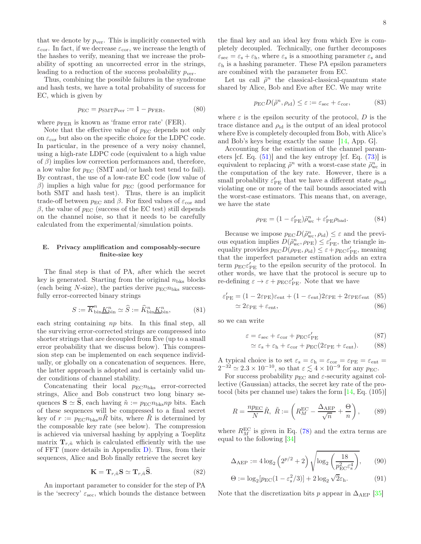that we denote by  $p_{\text{ver}}$ . This is implicitly connected with  $\varepsilon_{\text{cor}}$ . In fact, if we decrease  $\varepsilon_{\text{cor}}$ , we increase the length of the hashes to verify, meaning that we increase the probability of spotting an uncorrected error in the strings, leading to a reduction of the success probability  $p_{\text{ver}}$ .

Thus, combining the possible failures in the syndrome and hash tests, we have a total probability of success for EC, which is given by

$$
p_{\rm EC} = p_{\rm SMT} p_{\rm ver} := 1 - p_{\rm FER},\tag{80}
$$

where  $p_{\text{FER}}$  is known as 'frame error rate' (FER).

Note that the effective value of  $p_{\text{EC}}$  depends not only on  $\varepsilon_{\rm cor}$  but also on the specific choice for the LDPC code. In particular, in the presence of a very noisy channel, using a high-rate LDPC code (equivalent to a high value of  $\beta$ ) implies low correction performances and, therefore, a low value for  $p_{EC}$  (SMT and/or hash test tend to fail). By contrast, the use of a low-rate EC code (low value of β) implies a high value for  $p_{EC}$  (good performance for both SMT and hash test). Thus, there is an implicit trade-off between  $p_{EC}$  and  $\beta$ . For fixed values of  $\varepsilon_{cor}$  and β, the value of  $p_{EC}$  (success of the EC test) still depends on the channel noise, so that it needs to be carefully calculated from the experimental/simulation points.

# E. Privacy amplification and composably-secure finite-size key

The final step is that of PA, after which the secret key is generated. Starting from the original  $n_{\text{bks}}$  blocks (each being N-size), the parties derive  $p_{\text{EC}}n_{\text{bks}}$  successfully error-corrected binary strings

$$
S := \overline{K}_{\text{bin}}^n \underline{K}_{\text{bin}}^n \simeq \widehat{S} := \widehat{K}_{\text{bin}}^n \underline{K}_{\text{bin}}^n,\tag{81}
$$

each string containing np bits. In this final step, all the surviving error-corrected strings are compressed into shorter strings that are decoupled from Eve (up to a small error probability that we discuss below). This compression step can be implemented on each sequence individually, or globally on a concatenation of sequences. Here, the latter approach is adopted and is certainly valid under conditions of channel stability.

Concatenating their local  $p_{EC}n_{bks}$  error-corrected strings, Alice and Bob construct two long binary sequences  $\mathbf{S} \simeq \hat{\mathbf{S}}$ , each having  $\tilde{n} := p_{\text{EC}} n_{\text{bks}} np$  bits. Each of these sequences will be compressed to a final secret key of  $r := p_{\text{EC}} n_{\text{bks}} nR$  bits, where R is determined by the composable key rate (see below). The compression is achieved via universal hashing by applying a Toeplitz matrix  $\mathbf{T}_{r,n}$  which is calculated efficiently with the use of FFT (more details in Appendix [D\)](#page-17-0). Thus, from their sequences, Alice and Bob finally retrieve the secret key

<span id="page-7-2"></span>
$$
\mathbf{K} = \mathbf{T}_{r,\tilde{n}} \mathbf{S} \simeq \mathbf{T}_{r,\tilde{n}} \widehat{\mathbf{S}}.
$$
 (82)

An important parameter to consider for the step of PA is the 'secrecy'  $\varepsilon_{\text{sec}}$ , which bounds the distance between

the final key and an ideal key from which Eve is completely decoupled. Technically, one further decomposes  $\varepsilon_{\text{sec}} = \varepsilon_{\text{s}} + \varepsilon_{\text{h}}$ , where  $\varepsilon_{\text{s}}$  is a smoothing parameter  $\varepsilon_{\text{s}}$  and  $\varepsilon_h$  is a hashing parameter. These PA epsilon parameters are combined with the parameter from EC.

Let us call  $\tilde{\rho}^n$  the classical-classical-quantum state shared by Alice, Bob and Eve after EC. We may write

$$
p_{\rm EC}D(\tilde{\rho}^n,\rho_{\rm id}) \le \varepsilon := \varepsilon_{\rm sec} + \varepsilon_{\rm cor},\tag{83}
$$

where  $\varepsilon$  is the epsilon security of the protocol, D is the trace distance and  $\rho_{\rm id}$  is the output of an ideal protocol where Eve is completely decoupled from Bob, with Alice's and Bob's keys being exactly the same [\[14](#page-19-4), App. G].

Accounting for the estimation of the channel parameters [cf. Eq. [\(51\)](#page-4-7)] and the key entropy [cf. Eq. [\(73\)](#page-6-3)] is equivalent to replacing  $\tilde{\rho}^n$  with a worst-case state  $\tilde{\rho}_{\text{wc}}^n$  in the computation of the key rate. However, there is a small probability  $\varepsilon'_{\text{PE}}$  that we have a different state  $\rho_{\text{bad}}$ violating one or more of the tail bounds associated with the worst-case estimators. This means that, on average, we have the state

$$
\rho_{\rm PE} = (1 - \varepsilon_{\rm PE}') \tilde{\rho}_{\rm wc}^n + \varepsilon_{\rm PE}' \rho_{\rm bad}.
$$
 (84)

Because we impose  $p_{\text{EC}}D(\tilde{\rho}_{\text{wc}}^n, \rho_{\text{id}}) \leq \varepsilon$  and the previous equation implies  $D(\tilde{\rho}_{\rm wc}^n, \rho_{\rm PE}) \leq \varepsilon_{\rm PE}'$ , the triangle inequality provides  $p_{\text{EC}}D(\rho_{\text{PE}}, \rho_{\text{id}}) \leq \varepsilon + p_{\text{EC}}\varepsilon'_{\text{PE}}$ , meaning that the imperfect parameter estimation adds an extra term  $p_{\text{EC}}\varepsilon'_{\text{PE}}$  to the epsilon security of the protocol. In other words, we have that the protocol is secure up to re-defining  $\varepsilon \to \varepsilon + p_{\text{EC}} \varepsilon'_{\text{PE}}$ . Note that we have

$$
\varepsilon'_{\rm PE} = (1 - 2\varepsilon_{\rm PE})\varepsilon_{\rm ent} + (1 - \varepsilon_{\rm ent})2\varepsilon_{\rm PE} + 2\varepsilon_{\rm PE}\varepsilon_{\rm ent} \quad (85)
$$

$$
\simeq 2\varepsilon_{\rm PE} + \varepsilon_{\rm ent}, \tag{86}
$$

so we can write

$$
\varepsilon = \varepsilon_{\text{sec}} + \varepsilon_{\text{cor}} + p_{\text{EC}} \varepsilon_{\text{PE}}' \tag{87}
$$

<span id="page-7-1"></span>
$$
\simeq \varepsilon_{\rm s} + \varepsilon_{\rm h} + \varepsilon_{\rm cor} + p_{\rm EC}(2\varepsilon_{\rm PE} + \varepsilon_{\rm ent}).\tag{88}
$$

A typical choice is to set  $\varepsilon_{\rm s} = \varepsilon_{\rm h} = \varepsilon_{\rm cor} = \varepsilon_{\rm PE} = \varepsilon_{\rm ent} =$  $2^{-32} \simeq 2.3 \times 10^{-10}$ , so that  $\varepsilon \lesssim 4 \times 10^{-9}$  for any  $p_{\text{EC}}$ .

For success probability  $p_{\text{EC}}$  and  $\varepsilon$ -security against collective (Gaussian) attacks, the secret key rate of the protocol (bits per channel use) takes the form [\[14,](#page-19-4) Eq. (105)]

<span id="page-7-0"></span>
$$
R = \frac{np_{\rm EC}}{N}\tilde{R}, \ \tilde{R} := \left(R_M^{\rm EC} - \frac{\Delta_{\rm AEP}}{\sqrt{n}} + \frac{\Theta}{n}\right), \tag{89}
$$

where  $R_M^{\text{EC}}$  is given in Eq. [\(78\)](#page-6-4) and the extra terms are equal to the following [\[34\]](#page-19-22)

$$
\Delta_{\rm AEP} := 4 \log_2 \left( 2^{p/2} + 2 \right) \sqrt{\log_2 \left( \frac{18}{p_{\rm EC}^2 \varepsilon_s^4} \right)},\qquad(90)
$$

$$
\Theta := \log_2[p_{\rm EC}(1 - \varepsilon_s^2/3)] + 2\log_2\sqrt{2}\varepsilon_{\rm h}.
$$
 (91)

Note that the discretization bits p appear in  $\Delta_{\text{AEP}}$  [\[35](#page-19-23)]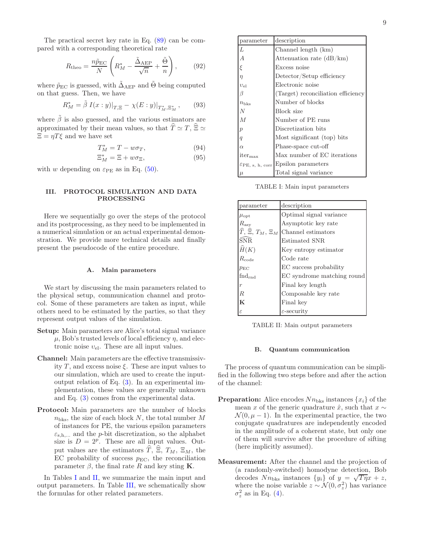<span id="page-8-3"></span>
$$
R_{\text{theo}} = \frac{n\tilde{p}_{\text{EC}}}{N} \left( R_M^* - \frac{\tilde{\Delta}_{\text{AEP}}}{\sqrt{n}} + \frac{\tilde{\Theta}}{n} \right),\qquad(92)
$$

where  $\tilde{p}_{EC}$  is guessed, with  $\tilde{\Delta}_{AEP}$  and  $\Theta$  being computed on that guess. Then, we have

$$
R_M^* = \tilde{\beta} I(x:y)|_{T,\Xi} - \chi(E:y)|_{T_M^*,\Xi_M^*},\qquad(93)
$$

where  $\tilde{\beta}$  is also guessed, and the various estimators are approximated by their mean values, so that  $\widehat{T} \simeq T$ ,  $\widehat{\Xi} \simeq$  $\Xi = \eta T \xi$  and we have set

$$
T_M^* = T - w\sigma_T,\t\t(94)
$$

$$
\Xi_M^* = \Xi + w\sigma_{\Xi},\tag{95}
$$

with w depending on  $\varepsilon_{\text{PE}}$  as in Eq. [\(50\)](#page-4-8).

# <span id="page-8-0"></span>III. PROTOCOL SIMULATION AND DATA PROCESSING

Here we sequentially go over the steps of the protocol and its postprocessing, as they need to be implemented in a numerical simulation or an actual experimental demonstration. We provide more technical details and finally present the pseudocode of the entire procedure.

## A. Main parameters

We start by discussing the main parameters related to the physical setup, communication channel and protocol. Some of these parameters are taken as input, while others need to be estimated by the parties, so that they represent output values of the simulation.

- Setup: Main parameters are Alice's total signal variance  $\mu$ , Bob's trusted levels of local efficiency  $\eta$ , and electronic noise  $v_{el}$ . These are all input values.
- Channel: Main parameters are the effective transmissivity T, and excess noise  $\xi$ . These are input values to our simulation, which are used to create the inputoutput relation of Eq. [\(3\)](#page-1-2). In an experimental implementation, these values are generally unknown and Eq. [\(3\)](#page-1-2) comes from the experimental data.
- Protocol: Main parameters are the number of blocks  $n_{\text{bks}}$ , the size of each block N, the total number M of instances for PE, the various epsilon parameters  $\varepsilon_{s,h,...}$  and the *p*-bit discretization, so the alphabet size is  $D = 2^p$ . These are all input values. Output values are the estimators  $\widehat{T}$ ,  $\widehat{\Xi}$ ,  $T_M$ ,  $\Xi_M$ , the EC probability of success  $p_{EC}$ , the reconciliation parameter  $\beta$ , the final rate R and key sting K.

In Tables [I](#page-8-1) and [II,](#page-8-2) we summarize the main input and output parameters. In Table [III,](#page-9-0) we schematically show the formulas for other related parameters.

| parameter                    | description                        |  |
|------------------------------|------------------------------------|--|
| L                            | Channel length (km)                |  |
| А                            | Attenuation rate $(dB/km)$         |  |
| ξ                            | Excess noise                       |  |
| $\eta$                       | Detector/Setup efficiency          |  |
| $v_{el}$                     | Electronic noise                   |  |
| ß                            | (Target) reconciliation efficiency |  |
| $n_{\rm bks}$                | Number of blocks                   |  |
| N                            | Block size                         |  |
| $\overline{M}$               | Number of PE runs                  |  |
| р                            | Discretization bits                |  |
| $\boldsymbol{q}$             | Most significant (top) bits        |  |
| $\alpha$                     | Phase-space cut-off                |  |
| $iter_{\text{max}}$          | Max number of EC iterations        |  |
| $\mathcal{E}PE$ , s, h, corr | Epsilon parameters                 |  |
| $\mu$                        | Total signal variance              |  |

<span id="page-8-1"></span>TABLE I: Main input parameters

| parameter                                         | description                |
|---------------------------------------------------|----------------------------|
| $\mu_{\rm opt}$                                   | Optimal signal variance    |
| $R_{\rm asy}$                                     | Asymptotic key rate        |
| $\widehat{T}$ , $\widehat{\Xi}$ , $T_M$ , $\Xi_M$ | Channel estimators         |
| ŚNR.                                              | <b>Estimated SNR</b>       |
| $\widehat{H}(K)$                                  | Key entropy estimator      |
| $R_{\rm code}$                                    | Code rate                  |
| $p_{\text{EC}}$                                   | EC success probability     |
| $\text{find}_{\text{rnd}}$                        | EC syndrome matching round |
| $\boldsymbol{r}$                                  | Final key length           |
| R                                                 | Composable key rate        |
| K                                                 | Final key                  |
| ε                                                 | $\varepsilon$ -security    |

<span id="page-8-2"></span>TABLE II: Main output parameters

## B. Quantum communication

The process of quantum communication can be simplified in the following two steps before and after the action of the channel:

- **Preparation:** Alice encodes  $Nn_{\text{bks}}$  instances  $\{x_i\}$  of the mean x of the generic quadrature  $\hat{x}$ , such that  $x \sim$  $\mathcal{N}(0, \mu - 1)$ . In the experimental practice, the two conjugate quadratures are independently encoded in the amplitude of a coherent state, but only one of them will survive after the procedure of sifting (here implicitly assumed).
- Measurement: After the channel and the projection of (a randomly-switched) homodyne detection, Bob decodes  $Nn_{\text{bks}}$  instances  $\{y_i\}$  of  $y = \sqrt{T\eta}x + z$ , where the noise variable  $z \sim \mathcal{N}(0, \sigma_z^2)$  has variance  $\sigma_z^2$  as in Eq. [\(4\)](#page-1-3).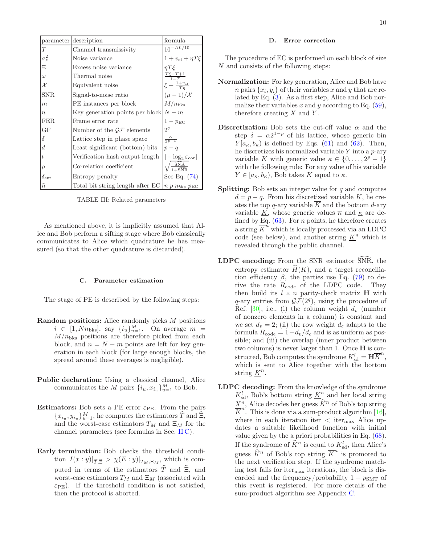|                    | parameter description                                           | formula                                          |
|--------------------|-----------------------------------------------------------------|--------------------------------------------------|
| T                  | Channel transmissivity                                          | $10^{-AL/10}$                                    |
| $\sigma_z^2$       | Noise variance                                                  | $1 + v_{el} + \eta T \xi$                        |
| Ξ                  | Excess noise variance                                           | $\eta T \xi$                                     |
| $\omega$           | Thermal noise                                                   | $\frac{T\xi - T + 1}{1 - T}$                     |
| $\mathcal{X}$      | Equivalent noise                                                | $\xi + \frac{1+v_{\text{el}}}{T\eta}$            |
| <b>SNR</b>         | Signal-to-noise ratio                                           | $(\mu-1)/\mathcal{X}$                            |
| $\boldsymbol{m}$   | PE instances per block                                          | $M/n_{\rm bks}$                                  |
| $\boldsymbol{n}$   | Key generation points per block $ N-m $                         |                                                  |
| <b>FER</b>         | Frame error rate                                                | $1-p_{\text{EC}}$                                |
| GF                 | Number of the $\mathcal{GF}$ elements                           | 2 <sup>q</sup>                                   |
| δ                  | Lattice step in phase space                                     | $\frac{\alpha}{2p-1}$                            |
| $\boldsymbol{d}$   | Least significant (bottom) bits                                 | $p - q$                                          |
| t                  | Verification hash output length                                 | $\lceil -\log_2 \varepsilon_{\text{cor}} \rceil$ |
| $\rho$             | Correlation coefficient                                         | $\frac{\text{SNR}}{1+\text{SNR}}$                |
| $\delta_{\rm ent}$ | Entropy penalty                                                 | See Eq. $(74)$                                   |
| $\tilde{n}$        | Total bit string length after EC  n p $n_{bks}$ p <sub>EC</sub> |                                                  |

<span id="page-9-0"></span>TABLE III: Related parameters

As mentioned above, it is implicitly assumed that Alice and Bob perform a sifting stage where Bob classically communicates to Alice which quadrature he has measured (so that the other quadrature is discarded).

## C. Parameter estimation

The stage of PE is described by the following steps:

- Random positions: Alice randomly picks M positions  $i \in [1, Nn_{\text{bks}}], \text{ say } \{i_u\}_{u=1}^M.$  On average  $m =$  $M/n_{\text{bks}}$  positions are therefore picked from each block, and  $n = N - m$  points are left for key generation in each block (for large enough blocks, the spread around these averages is negligible).
- Public declaration: Using a classical channel, Alice communicates the M pairs  $\{i_u, x_{i_u}\}_{u=1}^M$  to Bob.
- **Estimators:** Bob sets a PE error  $\varepsilon_{PE}$ . From the pairs  ${x_{i_u}, y_{i_u}}_{u=1}^M$ , he computes the estimators  $\widehat{T}$  and  $\widehat{\Xi}$ , and the worst-case estimators  $T_M$  and  $\Xi_M$  for the channel parameters (see formulas in Sec. [II C\)](#page-3-0).
- Early termination: Bob checks the threshold condition  $I(x:y)|_{\widehat{T}, \widehat{\Xi}} > \chi(E:y)|_{T_M, \Xi_M}$ , which is computed in terms of the estimators  $\hat{T}$  and  $\hat{\Xi}$ , and worst-case estimators  $T_M$  and  $\Xi_M$  (associated with  $\varepsilon_{\text{PE}}$ ). If the threshold condition is not satisfied, then the protocol is aborted.

## D. Error correction

The procedure of EC is performed on each block of size N and consists of the following steps:

- Normalization: For key generation, Alice and Bob have *n* pairs  $\{x_i, y_i\}$  of their variables x and y that are related by Eq. [\(3\)](#page-1-2). As a first step, Alice and Bob normalize their variables x and y according to Eq.  $(59)$ , therefore creating  $X$  and  $Y$ .
- Discretization: Bob sets the cut-off value  $\alpha$  and the step  $\delta = \alpha 2^{1-p}$  of his lattice, whose generic bin  $Y[a_{\kappa}, b_{\kappa})$  is defined by Eqs. [\(61\)](#page-5-1) and [\(62\)](#page-5-2). Then, he discretizes his normalized variable  $Y$  into a  $p$ -ary variable K with generic value  $\kappa \in \{0, \ldots, 2^p - 1\}$ with the following rule: For any value of his variable  $Y \in [a_{\kappa}, b_{\kappa}),$  Bob takes K equal to  $\kappa$ .
- **Splitting:** Bob sets an integer value for  $q$  and computes  $d = p - q$ . From his discretized variable K, he creates the top q-ary variable  $\overline{K}$  and the bottom d-ary variable  $\underline{K}$ , whose generic values  $\overline{\kappa}$  and  $\underline{\kappa}$  are defined by  $\underline{Eq.}$  [\(63\)](#page-5-3). For *n* points, he therefore creates a string  $\overline{K}^{\hat{n}}$  which is locally processed via an LDPC code (see below), and another string  $\underline{K}^n$  which is revealed through the public channel.
- $LDPC$  encoding: From the SNR estimator  $\overline{SNR}$ , the entropy estimator  $H(K)$ , and a target reconciliation efficiency  $\beta$ , the parties use Eq. [\(79\)](#page-6-6) to derive the rate  $R_{code}$  of the LDPC code. They then build its  $l \times n$  parity-check matrix **H** with  $q$ -ary entries from  $\mathcal{GF}(2^q)$ , using the procedure of Ref.  $[30]$ , i.e., (i) the column weight  $d_v$  (number of nonzero elements in a column) is constant and we set  $d_v = 2$ ; (ii) the row weight  $d_c$  adapts to the formula  $R_{\text{code}} = 1 - d_v/d_c$  and is as uniform as possible; and (iii) the overlap (inner product between two columns) is never larger than 1. Once H is constructed, Bob computes the syndrome  $K_{sd}^l = \mathbf{H} \overline{K}^n$ , which is sent to Alice together with the bottom string  $\underline{K}^n$ .
- LDPC decoding: From the knowledge of the syndrome  $K_{\text{sd}}^l$ , Bob's bottom string  $\underline{K}^n$  and her local string  $X^n$ , Alice decodes her guess  $\widehat{K}^n$  of Bob's top string  $\overline{K}^n$ . This is done via a sum-product algorithm [\[16\]](#page-19-7), where in each iteration iter  $\langle$  iter<sub>max</sub> Alice updates a suitable likelihood function with initial value given by the a priori probabilities in Eq. [\(68\)](#page-6-7). If the syndrome of  $\widehat{K}^n$  is equal to  $K_{\rm sd}^l$ , then Alice's guess  $\widehat{K}^n$  of Bob's top string  $\overline{K}^n$  is promoted to the next verification step. If the syndrome matching test fails for itermax iterations, the block is discarded and the frequency/probability  $1 - p<sub>SMT</sub>$  of this event is registered. For more details of the sum-product algorithm see Appendix [C.](#page-15-0)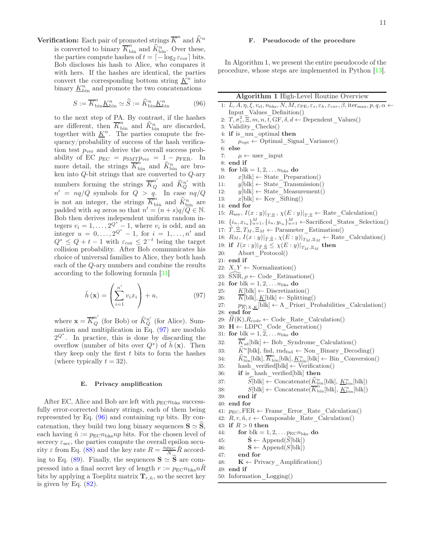**Verification:** Each pair of promoted strings  $\overline{K}^n$  and  $\widehat{K}^n$ is converted to binary  $\overline{K}_{\text{bin}}^n$  and  $\widehat{K}_{\text{bin}}^n$ . Over these, the parties compute hashes of  $t = \lceil -\log_2 \varepsilon_{\text{cor}} \rceil$  bits. Bob discloses his hash to Alice, who compares it with hers. If the hashes are identical, the parties convert the corresponding bottom string  $\underline{K}^n$  into binary  $\underline{K}_{\textrm{bin}}^n$  and promote the two concatenations

<span id="page-10-1"></span>
$$
S := \overline{K}_{\text{bin}}^n \underline{K}_{\text{bin}}^n \simeq \widehat{S} := \widehat{K}_{\text{bin}}^n \underline{K}_{\text{bin}}^n \tag{96}
$$

to the next step of PA. By contrast, if the hashes are different, then  $\overline{K}_{\text{bin}}^n$  and  $\widehat{K}_{\text{bin}}^n$  are discarded, together with  $\underline{K}^n$ . The parties compute the frequency/probability of success of the hash verification test  $p_{\text{ver}}$  and derive the overall success probability of EC  $p_{EC} = p_{SMT}p_{ver} = 1 - p_{FER}$ . In more detail, the strings  $\overline{K}_{\text{bin}}^{\hat{n}}$  and  $\widehat{K}_{\text{bin}}^{\hat{n}}$  are broken into  $Q$ -bit strings that are converted to  $Q$ -ary numbers forming the strings  $\overline{K}_Q^{n'}$  and  $\hat{K}_Q^{n'}$  with  $n' = nq/Q$  symbols for  $Q > q$ . In case  $nq/Q$ is not an integer, the strings  $\overline{K}_{\text{bin}}^n$  and  $\widehat{K}_{\text{bin}}^n$  are padded with sq zeros so that  $n' = (n+s)q/Q \in \mathbb{N}$ . Bob then derives independent uniform random integers  $v_i = 1, \ldots, 2^{\mathcal{Q}^*} - 1$ , where  $v_i$  is odd, and an integer  $u = 0, ..., 2^{Q^*} - 1$ , for  $i = 1, ..., n'$  and  $Q^* \leq Q + t - 1$  with  $\varepsilon_{\text{cor}} \leq 2^{-t}$  being the target collision probability. After Bob communicates his choice of universal families to Alice, they both hash each of the Q-ary numbers and combine the results according to the following formula [\[31\]](#page-19-19)

<span id="page-10-0"></span>
$$
\tilde{h}\left(\mathbf{x}\right) = \left(\sum_{i=1}^{n'} v_i x_i\right) + u,\tag{97}
$$

where  $\mathbf{x} = \overline{K}_Q^{n'}$  (for Bob) or  $\widehat{K}_Q^{n'}$  (for Alice). Summation and multiplication in Eq. [\(97\)](#page-10-0) are modulo  $2^{Q^*}$ . In practice, this is done by discarding the overflow (number of bits over  $Q^*$ ) of  $\tilde{h}(\mathbf{x})$ . Then they keep only the first  $t$  bits to form the hashes (where typically  $t = 32$ ).

# E. Privacy amplification

After EC, Alice and Bob are left with  $p_{\text{EC}}n_{\text{bks}}$  successfully error-corrected binary strings, each of them being represented by Eq.  $(96)$  and containing np bits. By concatenation, they build two long binary sequences  $\mathbf{S} \simeq \widehat{\mathbf{S}}$ , each having  $\tilde{n} := p_{\text{EC}} n_{\text{bks}} np$  bits. For the chosen level of secrecy  $\varepsilon_{\text{sec}}$ , the parties compute the overall epsilon security  $\varepsilon$  from Eq. [\(88\)](#page-7-1) and the key rate  $R = \frac{np_{\rm EC}}{N} \tilde{R}$  accord-ing to Eq. [\(89\)](#page-7-0). Finally, the sequences  $\mathbf{S} \simeq \mathbf{S}$  are compressed into a final secret key of length  $r := p_{\text{EC}} n_{\text{bks}} n \tilde{R}$ bits by applying a Toeplitz matrix  $\mathbf{T}_{r,n}$ , so the secret key is given by Eq.  $(82)$ .

# F. Pseudocode of the procedure

In Algorithm 1, we present the entire pseudocode of the procedure, whose steps are implemented in Python [\[13\]](#page-19-3).

| Algorithm 1 High-Level Routine Overview |  |  |  |  |
|-----------------------------------------|--|--|--|--|
|-----------------------------------------|--|--|--|--|

- 1:  $L, A, \eta, \xi, v_{el}, n_{bks}, N, M, \varepsilon_{PE}, \varepsilon_s, \varepsilon_h, \varepsilon_{cor}, \beta, \text{iter}_{max}, p, q, \alpha \leftarrow$ Input\_Values\_Definition() 2:  $T, \sigma_z^2, \overline{\Xi}, m, n, \overline{t}, \text{GF}, \delta, d \leftarrow \text{Dependent\_Values}()$ 3: Validity\_Checks() 4: if is\_mu\_optimal then 5:  $\mu_{\text{opt}} \leftarrow \text{Optimal Signal Variance}()$ 6: else 7:  $\mu \leftarrow \text{user input}$ 8: end if 9: for blk =  $1, 2, \ldots n_{\text{bks}}$  do 10:  $x[\text{blk}] \leftarrow \text{State Preparation}()$ 11:  $y[b] \leftarrow State Transmission()$ 12:  $y[blk] \leftarrow State\_Measurement()$ 13:  $x[b] \leftarrow \text{Key}$  Sifting() 14: end for 15:  $R_{\text{asy}}, I(x:y)|_{T,\Xi}, \chi(E:y)|_{T,\Xi} \leftarrow \text{Rate\_Calculation}()$ 16:  $\{i_u, x_{i_u}\}_{u=1}^M$ ,  $\{i_u, y_{i_u}\}_{u=1}^M$   $\leftarrow$  Sacrificed \_States \_Selection() 17:  $\hat{T}, \hat{\Xi}, T_M, \Xi_M \leftarrow \text{Parameter}$  Estimation() 18:  $R_M$ ,  $I(x : y)|_{\hat{T}, \hat{\Xi}}$ ,  $\chi(E : y)|_{T_M, \Xi_M} \leftarrow$  Rate\_Calculation()<br>19: if  $I(x : y)|_{\hat{T}, \hat{\Xi}} \leq \chi(E : y)|_{T_M, \Xi_M}$  then 19: if  $I(x:y)|_{\widehat{T}, \widehat{\Xi}} \leq \chi(E:y)|_{T_M, \Xi_M}$  then 20: Abort\_Protocol() 21: end if 22:  $X, Y \leftarrow \text{Normalization}()$ 23:  $\widehat{\text{SNR}}, \rho \leftarrow \text{Code}$  Estimations() 24: for  $blk = 1, 2, \ldots n_{bks}$  do 25:  $K[\text{blk}] \leftarrow \text{Discretization}()$ 26:  $\overline{K}[\text{blk}], \underline{K}[\text{blk}] \leftarrow \text{Splitting}()$ 27:  $p_{\overline{K}|X,\underline{K}}[\text{blk}] \leftarrow \text{A\_Priori\_Probabilities\_Calculation}()$ 28: end for 29:  $H(K), R_{code} \leftarrow Code$  Rate Calculation() 30:  $H \leftarrow LDPC\_{Code\_{Generator}}$ 31: for  $blk = 1, 2, \ldots n_{bks}$  do 32:  $\overline{K}_{sd}^l[\text{blk}] \leftarrow \text{Bob\_Symdrome\_Calculation}()$ 33:  $\hat{K}^n[\text{blk}]$ , fnd, rnd<sub>fnd</sub> ← Non\_Binary\_Decoding() 34:  $\widehat{K}_{\text{bin}}^n[\text{blk}], \overline{K}_{\text{bin}}^n[\text{blk}], \underline{K}_{\text{bin}}^n[\text{blk}] \leftarrow \text{Bin\_Conversion}()$ 35: hash verified[blk]  $\leftarrow$  Verification() 36: if is\_hash\_verified[blk] then 37:  $\widehat{S}[\text{blk}] \leftarrow \text{Concatenate}(\widehat{K}_{\text{bin}}^n[\text{blk}], \underline{K}_{\text{bin}}^n[\text{blk}])$ 38:  $S[\text{blk}] \leftarrow \text{Concatenate}(\overline{K}_{\text{bin}}^n[\text{blk}], \overline{K}_{\text{bin}}^n[\text{blk}])$ 39: end if 40: end for 41:  $p_{EC}$ , FER  $\leftarrow$  Frame\_Error\_Rate\_Calculation() 42:  $R, r, \tilde{n}, \varepsilon \leftarrow$  Composable Rate Calculation() 43: if  $R > 0$  then 44: for blk =  $1, 2, \ldots p_{\text{EC}} n_{\text{bks}}$  do 45:  $S \leftarrow \text{Append}(S[\text{blk}])$ <br>46:  $S \leftarrow \text{Append}(S[\text{blk}])$ 
	- $\mathbf{S} \leftarrow \mathrm{Append}(S[\text{blk}])$
- 47: end for
- 48:  $\mathbf{K} \leftarrow$  Privacy Amplification()
- 49: end if
- 50: Information\_Logging()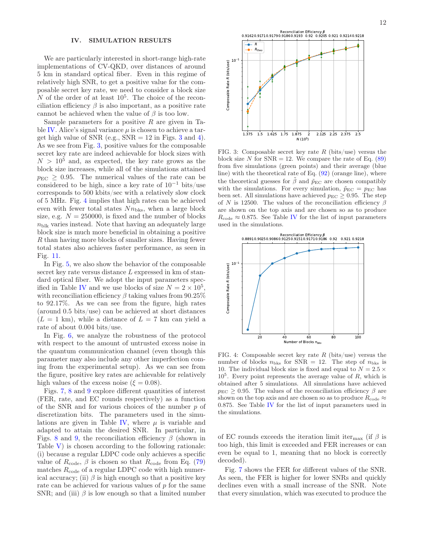# <span id="page-11-0"></span>IV. SIMULATION RESULTS

We are particularly interested in short-range high-rate implementations of CV-QKD, over distances of around 5 km in standard optical fiber. Even in this regime of relatively high SNR, to get a positive value for the composable secret key rate, we need to consider a block size  $N$  of the order of at least  $10^5$ . The choice of the reconciliation efficiency  $\beta$  is also important, as a positive rate cannot be achieved when the value of  $\beta$  is too low.

Sample parameters for a positive  $R$  are given in Ta-ble [IV.](#page-12-0) Alice's signal variance  $\mu$  is chosen to achieve a target high value of SNR (e.g.,  $SNR = 12$  in Figs. [3](#page-11-1) and [4\)](#page-11-2). As we see from Fig. [3,](#page-11-1) positive values for the composable secret key rate are indeed achievable for block sizes with  $N > 10^5$  and, as expected, the key rate grows as the block size increases, while all of the simulations attained  $p_{\text{EC}} \geq 0.95$ . The numerical values of the rate can be considered to be high, since a key rate of  $10^{-1}$  bits/use corresponds to 500 kbits/sec with a relatively slow clock of 5 MHz. Fig. [4](#page-11-2) implies that high rates can be achieved even with fewer total states  $Nn_{\text{bks}}$ , when a large block size, e.g.  $N = 250000$ , is fixed and the number of blocks  $n_{\text{blk}}$  varies instead. Note that having an adequately large block size is much more beneficial in obtaining a positive R than having more blocks of smaller sizes. Having fewer total states also achieves faster performance, as seen in Fig. [11.](#page-18-9)

In Fig. [5,](#page-12-1) we also show the behavior of the composable secret key rate versus distance L expressed in km of standard optical fiber. We adopt the input parameters spec-ified in Table [IV](#page-12-0) and we use blocks of size  $N = 2 \times 10^5$ , with reconciliation efficiency  $\beta$  taking values from 90.25% to 92.17%. As we can see from the figure, high rates (around 0.5 bits/use) can be achieved at short distances  $(L = 1 \text{ km})$ , while a distance of  $L = 7 \text{ km}$  can yield a rate of about 0.004 bits/use.

In Fig. [6,](#page-12-2) we analyze the robustness of the protocol with respect to the amount of untrusted excess noise in the quantum communication channel (even though this parameter may also include any other imperfection coming from the experimental setup). As we can see from the figure, positive key rates are achievable for relatively high values of the excess noise ( $\xi = 0.08$ ).

Figs. [7,](#page-13-1) [8](#page-13-2) and [9](#page-14-2) explore different quantities of interest (FER, rate, and EC rounds respectively) as a function of the SNR and for various choices of the number  $p$  of discretization bits. The parameters used in the simu-lations are given in Table [IV,](#page-12-0) where  $\mu$  is variable and adapted to attain the desired SNR. In particular, in Figs. [8](#page-13-2) and [9,](#page-14-2) the reconciliation efficiency  $\beta$  (shown in Table  $V$ ) is chosen according to the following rationale: (i) because a regular LDPC code only achieves a specific value of  $R_{code}$ ,  $\beta$  is chosen so that  $R_{code}$  from Eq. [\(79\)](#page-6-6) matches  $R_{code}$  of a regular LDPC code with high numerical accuracy; (ii)  $\beta$  is high enough so that a positive key rate can be achieved for various values of p for the same SNR; and (iii)  $\beta$  is low enough so that a limited number



<span id="page-11-1"></span>FIG. 3: Composable secret key rate R (bits/use) versus the block size N for  $SNR = 12$ . We compare the rate of Eq. [\(89\)](#page-7-0) from five simulations (green points) and their average (blue line) with the theoretical rate of Eq. [\(92\)](#page-8-3) (orange line), where the theoretical guesses for  $\tilde{\beta}$  and  $\tilde{p}_{EC}$  are chosen compatibly with the simulations. For every simulation,  $\tilde{p}_{EC} = p_{EC}$  has been set. All simulations have achieved  $p_{EC} \geq 0.95$ . The step of N is 12500. The values of the reconciliation efficiency  $\beta$ are shown on the top axis and are chosen so as to produce  $R_{\text{code}} \approx 0.875$ . See Table [IV](#page-12-0) for the list of input parameters used in the simulations.



<span id="page-11-2"></span>FIG. 4: Composable secret key rate  $R$  (bits/use) versus the number of blocks  $n_{\text{bks}}$  for SNR = 12. The step of  $n_{\text{bks}}$  is 10. The individual block size is fixed and equal to  $N = 2.5 \times$  $10<sup>5</sup>$ . Every point represents the average value of R, which is obtained after 5 simulations. All simulations have achieved  $p_{\text{EC}} \geq 0.95$ . The values of the reconciliation efficiency  $\beta$  are shown on the top axis and are chosen so as to produce  $R_{code} \approx$ 0.875. See Table [IV](#page-12-0) for the list of input parameters used in the simulations.

of EC rounds exceeds the iteration limit iter<sub>max</sub> (if  $\beta$  is too high, this limit is exceeded and FER increases or can even be equal to 1, meaning that no block is correctly decoded).

Fig. [7](#page-13-1) shows the FER for different values of the SNR. As seen, the FER is higher for lower SNRs and quickly declines even with a small increase of the SNR. Note that every simulation, which was executed to produce the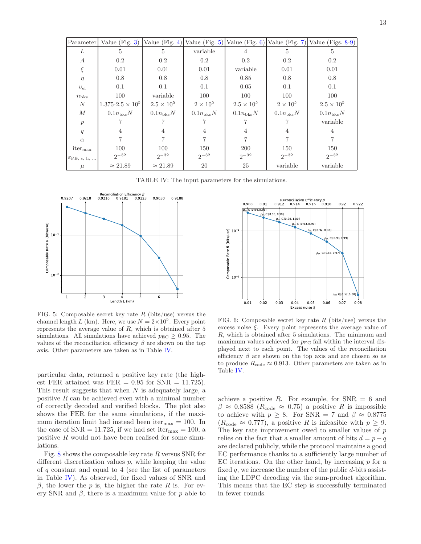| Parameter               |                           |                      |                      |                      |                      | Value (Fig. 3) Value (Fig. 4) Value (Fig. 5) Value (Fig. 6) Value (Fig. 7) Value (Figs. 8-9) |
|-------------------------|---------------------------|----------------------|----------------------|----------------------|----------------------|----------------------------------------------------------------------------------------------|
| L                       | 5                         | 5                    | variable             | 4                    | 5                    | 5                                                                                            |
| $\boldsymbol{A}$        | 0.2                       | $0.2\,$              | 0.2                  | 0.2                  | $0.2\,$              | $0.2\,$                                                                                      |
| ξ                       | 0.01                      | 0.01                 | 0.01                 | variable             | 0.01                 | 0.01                                                                                         |
| $\eta$                  | 0.8                       | 0.8                  | 0.8                  | 0.85                 | 0.8                  | 0.8                                                                                          |
| $v_{el}$                | 0.1                       | 0.1                  | 0.1                  | 0.05                 | 0.1                  | 0.1                                                                                          |
| $n_{\rm bks}$           | 100                       | variable             | 100                  | 100                  | 100                  | 100                                                                                          |
| N                       | $1.375 - 2.5 \times 10^5$ | $2.5 \times 10^5$    | $2\times10^5$        | $2.5 \times 10^5$    | $2\times10^5$        | $2.5 \times 10^{5}$                                                                          |
| $\boldsymbol{M}$        | $0.1n_{\text{bks}}N$      | $0.1n_{\text{bks}}N$ | $0.1n_{\text{bks}}N$ | $0.1n_{\text{bks}}N$ | $0.1n_{\text{bks}}N$ | $0.1n_{\text{bks}}N$                                                                         |
| p                       |                           |                      |                      |                      |                      | variable                                                                                     |
| q                       | 4                         | $\overline{4}$       | 4                    | 4                    | $\overline{4}$       | 4                                                                                            |
| $\alpha$                |                           |                      |                      |                      |                      |                                                                                              |
| iter <sub>max</sub>     | 100                       | 100                  | 150                  | <b>200</b>           | 150                  | 150                                                                                          |
| $\mathcal{E}PE$ , s, h, | $2^{-32}$                 | $2^{-32}$            | $2^{-32}$            | $2^{-32}$            | $2^{-32}$            | $2^{-32}$                                                                                    |
| $\mu$                   | $\approx 21.89$           | $\approx 21.89$      | 20                   | 25                   | variable             | variable                                                                                     |

<span id="page-12-0"></span>TABLE IV: The input parameters for the simulations.



<span id="page-12-1"></span>FIG. 5: Composable secret key rate R (bits/use) versus the channel length L (km). Here, we use  $N = 2 \times 10^5$ . Every point represents the average value of  $R$ , which is obtained after  $5$ simulations. All simulations have achieved  $p_{EC} \geq 0.95$ . The values of the reconciliation efficiency  $\beta$  are shown on the top axis. Other parameters are taken as in Table [IV.](#page-12-0)

particular data, returned a positive key rate (the highest FER attained was FER  $= 0.95$  for SNR  $= 11.725$ ). This result suggests that when  $N$  is adequately large, a positive  $R$  can be achieved even with a minimal number of correctly decoded and verified blocks. The plot also shows the FER for the same simulations, if the maximum iteration limit had instead been iter $_{\text{max}} = 100$ . In the case of SNR = 11.725, if we had set iter<sub>max</sub> = 100, a positive  $R$  would not have been realised for some simulations.

Fig. [8](#page-13-2) shows the composable key rate R versus SNR for different discretization values p, while keeping the value of q constant and equal to 4 (see the list of parameters in Table [IV\)](#page-12-0). As observed, for fixed values of SNR and β, the lower the p is, the higher the rate R is. For every SNR and  $\beta$ , there is a maximum value for p able to



<span id="page-12-2"></span>FIG. 6: Composable secret key rate R (bits/use) versus the excess noise  $\xi$ . Every point represents the average value of R, which is obtained after 5 simulations. The minimum and maximum values achieved for  $p_{EC}$  fall within the interval displayed next to each point. The values of the reconciliation efficiency  $\beta$  are shown on the top axis and are chosen so as to produce  $R_{\text{code}} \approx 0.913$ . Other parameters are taken as in Table [IV.](#page-12-0)

achieve a positive R. For example, for  $SNR = 6$  and  $\beta \approx 0.8588$  ( $R_{\text{code}} \approx 0.75$ ) a positive R is impossible to achieve with  $p \geq 8$ . For SNR = 7 and  $\beta \approx 0.8775$  $(R_{code} \approx 0.777)$ , a positive R is infeasible with  $p \geq 9$ . The key rate improvement owed to smaller values of p relies on the fact that a smaller amount of bits  $d = p - q$ are declared publicly, while the protocol maintains a good EC performance thanks to a sufficiently large number of EC iterations. On the other hand, by increasing  $p$  for a fixed q, we increase the number of the public  $d$ -bits assisting the LDPC decoding via the sum-product algorithm. This means that the EC step is successfully terminated in fewer rounds.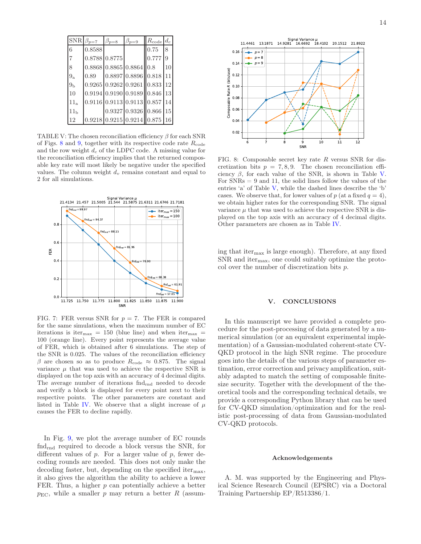|                  | $SNR \beta_{p=7}$ | $\beta_{p=8}$ | $\beta_{p=9}$                                       | $R_{code}$ $d_c$ |               |
|------------------|-------------------|---------------|-----------------------------------------------------|------------------|---------------|
| 6                | 0.8588            |               |                                                     | 0.75             | 8             |
| $\overline{7}$   |                   | 0.8788 0.8775 |                                                     | 0.777            | 9             |
| 8                |                   |               | $0.8868 \, 0.8865 \, 0.8864 \, 0.8$                 |                  | 10            |
| $9\mathrm{_{a}}$ | 0.89              |               | $0.8897 \, 0.8896 \, 0.818$                         |                  | 11            |
| $9_{\rm b}$      |                   |               | $0.9265 \, 0.9262 \, 0.9261 \, 0.833$               |                  | 12            |
| 10               |                   |               | $0.9194 \mid 0.9190 \mid 0.9189 \mid 0.846 \mid 13$ |                  |               |
| $11_a$           |                   |               | $0.9116 \mid 0.9113 \mid 0.9113 \mid 0.857 \mid 14$ |                  |               |
| 11 <sub>b</sub>  |                   |               | $0.9327 \, 0.9326 \, 0.866$                         |                  | 15            |
| 12               |                   |               | $0.9218 \mid 0.9215 \mid 0.9214 \mid 0.875$         |                  | <sup>16</sup> |

<span id="page-13-3"></span>TABLE V: The chosen reconciliation efficiency  $\beta$  for each SNR of Figs. [8](#page-13-2) and [9,](#page-14-2) together with its respective code rate  $R_{\text{code}}$ and the row weight  $d_c$  of the LDPC code. A missing value for the reconciliation efficiency implies that the returned composable key rate will most likely be negative under the specified values. The column weight  $d<sub>v</sub>$  remains constant and equal to 2 for all simulations.



<span id="page-13-1"></span>FIG. 7: FER versus SNR for  $p = 7$ . The FER is compared for the same simulations, when the maximum number of EC iterations is iter<sub>max</sub> = 150 (blue line) and when iter<sub>max</sub> = 100 (orange line). Every point represents the average value of FER, which is obtained after 6 simulations. The step of the SNR is 0.025. The values of the reconciliation efficiency β are chosen so as to produce  $R_{code} \approx 0.875$ . The signal variance  $\mu$  that was used to achieve the respective SNR is displayed on the top axis with an accuracy of 4 decimal digits. The average number of iterations  $\text{ind}_{\text{rnd}}$  needed to decode and verify a block is displayed for every point next to their respective points. The other parameters are constant and listed in Table [IV.](#page-12-0) We observe that a slight increase of  $\mu$ causes the FER to decline rapidly.

In Fig. [9,](#page-14-2) we plot the average number of EC rounds fndrnd required to decode a block versus the SNR, for different values of  $p$ . For a larger value of  $p$ , fewer decoding rounds are needed. This does not only make the decoding faster, but, depending on the specified iter $_{\text{max}}$ , it also gives the algorithm the ability to achieve a lower FER. Thus, a higher p can potentially achieve a better  $p_{\text{EC}}$ , while a smaller p may return a better R (assum-



<span id="page-13-2"></span>FIG. 8: Composable secret key rate  $R$  versus SNR for discretization bits  $p = 7, 8, 9$ . The chosen reconciliation efficiency  $\beta$ , for each value of the SNR, is shown in Table [V.](#page-13-3) For  $SNRs = 9$  and 11, the solid lines follow the values of the entries 'a' of Table [V,](#page-13-3) while the dashed lines describe the 'b' cases. We observe that, for lower values of p (at a fixed  $q = 4$ ), we obtain higher rates for the corresponding SNR. The signal variance  $\mu$  that was used to achieve the respective SNR is displayed on the top axis with an accuracy of 4 decimal digits. Other parameters are chosen as in Table [IV.](#page-12-0)

ing that iter $_{\text{max}}$  is large enough). Therefore, at any fixed  $SNR$  and iter<sub>max</sub>, one could suitably optimize the protocol over the number of discretization bits  $p$ .

# <span id="page-13-0"></span>V. CONCLUSIONS

In this manuscript we have provided a complete procedure for the post-processing of data generated by a numerical simulation (or an equivalent experimental implementation) of a Gaussian-modulated coherent-state CV-QKD protocol in the high SNR regime. The procedure goes into the details of the various steps of parameter estimation, error correction and privacy amplification, suitably adapted to match the setting of composable finitesize security. Together with the development of the theoretical tools and the corresponding technical details, we provide a corresponding Python library that can be used for CV-QKD simulation/optimization and for the realistic post-processing of data from Gaussian-modulated CV-QKD protocols.

# Acknowledgements

A. M. was supported by the Engineering and Physical Science Research Council (EPSRC) via a Doctoral Training Partnership EP/R513386/1.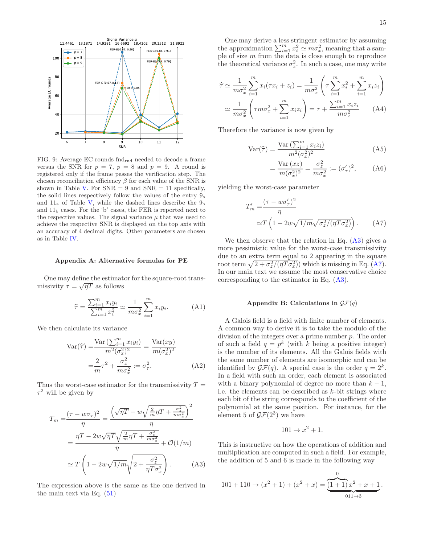

<span id="page-14-2"></span>FIG. 9: Average  $EC$  rounds  $\text{find}_{rnd}$  needed to decode a frame versus the SNR for  $p = 7$ ,  $p = 8$  and  $p = 9$ . A round is registered only if the frame passes the verification step. The chosen reconciliation efficiency  $\beta$  for each value of the SNR is shown in Table [V.](#page-13-3) For  $SNR = 9$  and  $SNR = 11$  specifically, the solid lines respectively follow the values of the entry 9<sup>a</sup> and  $11_a$  of Table [V,](#page-13-3) while the dashed lines describe the  $9_b$ and  $11<sub>b</sub>$  cases. For the 'b' cases, the FER is reported next to the respective values. The signal variance  $\mu$  that was used to achieve the respective SNR is displayed on the top axis with an accuracy of 4 decimal digits. Other parameters are chosen as in Table [IV.](#page-12-0)

### <span id="page-14-0"></span>Appendix A: Alternative formulas for PE

One may define the estimator for the square-root transmissivity  $\tau = \sqrt{\eta T}$  as follows

$$
\widehat{\tau} = \frac{\sum_{i=1}^{m} x_i y_i}{\sum_{i=1}^{m} x_i^2} \simeq \frac{1}{m \sigma_x^2} \sum_{i=1}^{m} x_i y_i.
$$
 (A1)

We then calculate its variance

$$
\operatorname{Var}(\widehat{\tau}) = \frac{\operatorname{Var}\left(\sum_{i=1}^{m} x_i y_i\right)}{m^2 (\sigma_x^2)^2} = \frac{\operatorname{Var}(xy)}{m (\sigma_x^2)^2}
$$

$$
= \frac{2}{m} \tau^2 + \frac{\sigma_z^2}{m \sigma_x^2} := \sigma_\tau^2. \tag{A2}
$$

Thus the worst-case estimator for the transmissivity  $T =$  $\tau^2$  will be given by

$$
T_m = \frac{(\tau - w\sigma_\tau)^2}{\eta} = \frac{\left(\sqrt{\eta T} - w\sqrt{\frac{2}{m}\eta T + \frac{\sigma_z^2}{m\sigma_x^2}}\right)^2}{\eta}
$$

$$
= \frac{\eta T - 2w\sqrt{\eta T}\sqrt{\frac{2}{m}\eta T + \frac{\sigma_z^2}{m\sigma_x^2}}}{\eta} + \mathcal{O}(1/m)
$$

$$
\simeq T\left(1 - 2w\sqrt{1/m}\sqrt{2 + \frac{\sigma_z^2}{\eta T\sigma_x^2}}\right). \tag{A3}
$$

The expression above is the same as the one derived in the main text via Eq.  $(51)$ 

One may derive a less stringent estimator by assuming the approximation  $\sum_{i=1}^{m} x_i^2 \simeq m\sigma_x^2$ , meaning that a sample of size m from the data is close enough to reproduce the theoretical variance  $\sigma_x^2$ . In such a case, one may write

$$
\widehat{\tau} \simeq \frac{1}{m\sigma_x^2} \sum_{i=1}^m x_i (\tau x_i + z_i) = \frac{1}{m\sigma_x^2} \left( \tau \sum_{i=1}^m x_i^2 + \sum_{i=1}^m x_i z_i \right)
$$

$$
\simeq \frac{1}{m\sigma_x^2} \left( \tau m \sigma_x^2 + \sum_{i=1}^m x_i z_i \right) = \tau + \frac{\sum_{i=1}^m x_i z_i}{m\sigma_x^2} \tag{A4}
$$

Therefore the variance is now given by

$$
Var(\hat{\tau}) = \frac{Var\left(\sum_{i=1}^{m} x_i z_i\right)}{m^2(\sigma_x^2)^2}
$$
 (A5)

<span id="page-14-4"></span>
$$
=\frac{\text{Var}\left(xz\right)}{m(\sigma_x^2)^2}=\frac{\sigma_z^2}{m\sigma_x^2}:=\left(\sigma_\tau'\right)^2,\qquad\text{(A6)}
$$

yielding the worst-case parameter

$$
T'_{m} = \frac{(\tau - w\sigma'_{\tau})^{2}}{\eta}
$$

$$
\simeq T \left(1 - 2w\sqrt{1/m}\sqrt{\sigma_{z}^{2}/(\eta T \sigma_{x}^{2})}\right). \tag{A7}
$$

We then observe that the relation in Eq.  $(A3)$  gives a more pessimistic value for the worst-case transmissivity due to an extra term equal to 2 appearing in the square root term  $\sqrt{2 + \sigma_z^2/(\eta T \sigma_x^2)}$  which is missing in Eq. [\(A7\)](#page-14-4). In our main text we assume the most conservative choice corresponding to the estimator in Eq. [\(A3\)](#page-14-3).

## <span id="page-14-1"></span>Appendix B: Calculations in  $\mathcal{GF}(q)$

A Galois field is a field with finite number of elements. A common way to derive it is to take the modulo of the division of the integers over a prime number  $p$ . The order of such a field  $q = p^k$  (with k being a positive integer) is the number of its elements. All the Galois fields with the same number of elements are isomorphic and can be identified by  $\mathcal{GF}(q)$ . A special case is the order  $q = 2^k$ . In a field with such an order, each element is associated with a binary polynomial of degree no more than  $k-1$ , i.e. the elements can be described as k-bit strings where each bit of the string corresponds to the coefficient of the polynomial at the same position. For instance, for the element 5 of  $\mathcal{GF}(2^3)$  we have

$$
101 \to x^2 + 1.
$$

<span id="page-14-3"></span>This is instructive on how the operations of addition and multiplication are computed in such a field. For example, the addition of 5 and 6 is made in the following way

$$
101 + 110 \rightarrow (x^{2} + 1) + (x^{2} + x) = \underbrace{\underbrace{(1+1) x^{2} + x + 1}_{011 \rightarrow 3}}.
$$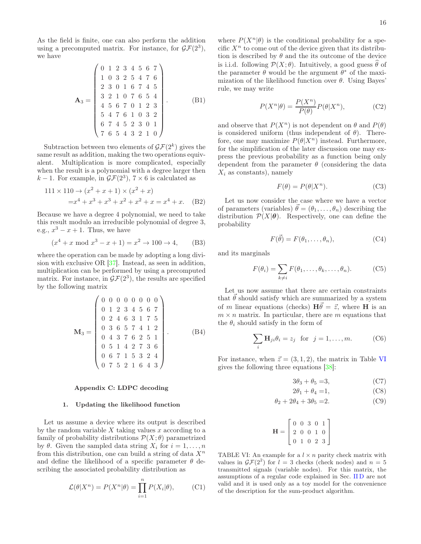As the field is finite, one can also perform the addition using a precomputed matrix. For instance, for  $\mathcal{GF}(2^3)$ , we have

$$
\mathbf{A}_3 = \begin{pmatrix} 0 & 1 & 2 & 3 & 4 & 5 & 6 & 7 \\ 1 & 0 & 3 & 2 & 5 & 4 & 7 & 6 \\ 2 & 3 & 0 & 1 & 6 & 7 & 4 & 5 \\ 3 & 2 & 1 & 0 & 7 & 6 & 5 & 4 \\ 4 & 5 & 6 & 7 & 0 & 1 & 2 & 3 \\ 5 & 4 & 7 & 6 & 1 & 0 & 3 & 2 \\ 6 & 7 & 4 & 5 & 2 & 3 & 0 & 1 \\ 7 & 6 & 5 & 4 & 3 & 2 & 1 & 0 \end{pmatrix}.
$$
 (B1)

Subtraction between two elements of  $\mathcal{GF}(2^k)$  gives the same result as addition, making the two operations equivalent. Multiplication is more complicated, especially when the result is a polynomial with a degree larger then  $k-1$ . For example, in  $\mathcal{GF}(2^3)$ ,  $7 \times 6$  is calculated as

$$
111 \times 110 \to (x^2 + x + 1) \times (x^2 + x)
$$
  
=  $x^4 + x^3 + x^3 + x^2 + x^2 + x = x^4 + x$ . (B2)

Because we have a degree 4 polynomial, we need to take this result modulo an irreducible polynomial of degree 3, e.g.,  $x^3 - x + 1$ . Thus, we have

$$
(x4 + x \bmod x3 - x + 1) = x2 \to 100 \to 4,
$$
 (B3)

where the operation can be made by adopting a long division with exclusive OR [\[37\]](#page-19-24). Instead, as seen in addition, multiplication can be performed by using a precomputed matrix. For instance, in  $\mathcal{GF}(2^3)$ , the results are specified by the following matrix

$$
\mathbf{M}_3 = \left(\begin{array}{cccccc} 0 & 0 & 0 & 0 & 0 & 0 & 0 \\ 0 & 1 & 2 & 3 & 4 & 5 & 6 & 7 \\ 0 & 2 & 4 & 6 & 3 & 1 & 7 & 5 \\ 0 & 3 & 6 & 5 & 7 & 4 & 1 & 2 \\ 0 & 4 & 3 & 7 & 6 & 2 & 5 & 1 \\ 0 & 5 & 1 & 4 & 2 & 7 & 3 & 6 \\ 0 & 6 & 7 & 1 & 5 & 3 & 2 & 4 \\ 0 & 7 & 5 & 2 & 1 & 6 & 4 & 3 \end{array}\right).
$$
 (B4)

## <span id="page-15-0"></span>Appendix C: LDPC decoding

## 1. Updating the likelihood function

Let us assume a device where its output is described by the random variable  $X$  taking values  $x$  according to a family of probability distributions  $\mathcal{P}(X; \theta)$  parametrized by  $\theta$ . Given the sampled data string  $X_i$  for  $i = 1, \ldots, n$ from this distribution, one can build a string of data  $X<sup>n</sup>$ and define the likelihood of a specific parameter  $\theta$  describing the associated probability distribution as

$$
\mathcal{L}(\theta|X^n) = P(X^n|\theta) = \prod_{i=1}^n P(X_i|\theta),\tag{C1}
$$

where  $P(X^n|\theta)$  is the conditional probability for a specific  $X<sup>n</sup>$  to come out of the device given that its distribution is described by  $\theta$  and the its outcome of the device is i.i.d. following  $\mathcal{P}(X;\theta)$ . Intuitively, a good guess  $\widehat{\theta}$  of the parameter  $\theta$  would be the argument  $\theta^*$  of the maximization of the likelihood function over  $\theta$ . Using Bayes' rule, we may write

$$
P(X^n|\theta) = \frac{P(X^n)}{P(\theta)} P(\theta|X^n),
$$
 (C2)

and observe that  $P(X^n)$  is not dependent on  $\theta$  and  $P(\theta)$ is considered uniform (thus independent of  $\theta$ ). Therefore, one may maximize  $P(\theta|X^n)$  instead. Furthermore, for the simplification of the later discussion one may express the previous probability as a function being only dependent from the parameter  $\theta$  (considering the data  $X_i$  as constants), namely

$$
F(\theta) = P(\theta|X^n). \tag{C3}
$$

Let us now consider the case where we have a vector of parameters (variables)  $\vec{\theta} = (\theta_1, \dots, \theta_n)$  describing the distribution  $\mathcal{P}(X|\boldsymbol{\theta})$ . Respectively, one can define the probability

<span id="page-15-2"></span>
$$
F(\vec{\theta}) = F(\theta_1, \dots, \theta_n), \tag{C4}
$$

and its marginals

$$
F(\theta_i) = \sum_{k \neq i} F(\theta_1, \dots, \theta_k, \dots, \theta_n).
$$
 (C5)

Let us now assume that there are certain constraints that  $\vec{\theta}$  should satisfy which are summarized by a system of m linear equations (checks)  $H\vec{\theta} = \vec{z}$ , where H is an  $m \times n$  matrix. In particular, there are m equations that the  $\theta_i$  should satisfy in the form of

$$
\sum_{i} \mathbf{H}_{ji} \theta_i = z_j \quad \text{for} \quad j = 1, \dots, m. \tag{C6}
$$

For instance, when  $\vec{z} = (3, 1, 2)$ , the matrix in Table [VI](#page-15-1) gives the following three equations [\[38\]](#page-19-25):

$$
3\theta_3 + \theta_5 = 3,\tag{C7}
$$

$$
2\theta_1 + \theta_4 = 1,\tag{C8}
$$

$$
\theta_2 + 2\theta_4 + 3\theta_5 = 2. \tag{C9}
$$

$$
\mathbf{H} = \left[ \begin{array}{cccc} 0 & 0 & 3 & 0 & 1 \\ 2 & 0 & 0 & 1 & 0 \\ 0 & 1 & 0 & 2 & 3 \end{array} \right]
$$

<span id="page-15-1"></span>TABLE VI: An example for a  $l \times n$  parity check matrix with values in  $\mathcal{GF}(2^2)$  for  $l = 3$  checks (check nodes) and  $n = 5$ transmitted signals (variable nodes). For this matrix, the assumptions of a regular code explained in Sec. [II D](#page-4-9) are not valid and it is used only as a toy model for the convenience of the description for the sum-product algorithm.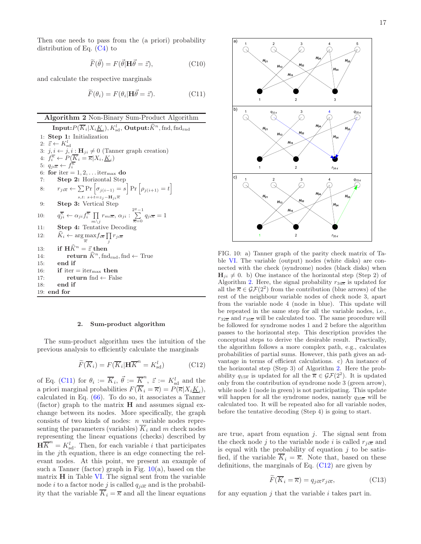Then one needs to pass from the (a priori) probability distribution of Eq. [\(C4\)](#page-15-2) to

$$
\widetilde{F}(\vec{\theta}) = F(\vec{\theta}|\mathbf{H}\vec{\theta} = \vec{z}),\tag{C10}
$$

and calculate the respective marginals

<span id="page-16-0"></span>
$$
\widetilde{F}(\theta_i) = F(\theta_i | \mathbf{H}\vec{\theta} = \vec{z}).\tag{C11}
$$

# <span id="page-16-2"></span>Algorithm 2 Non-Binary Sum-Product Algorithm

 $\textbf{Input:} P(\overline{K}_i | X_i \underline{K}_i), K^l_{\text{sd}}, \, \textbf{Output:} \widehat{K}^n, \text{find,} \, \text{find}_{\text{rnd}}$ 1: Step 1: Initialization 2:  $\vec{z} \leftarrow K_{\text{sd}}^l$ 3:  $j, i \leftarrow j, i : \mathbf{H}_{ji} \neq 0$  (Tanner graph creation) 4:  $f_i^{\overline{\kappa}} \leftarrow P(\overline{K}_i = \overline{\kappa}|X_i, \underline{K}_i)$ 5:  $q_{ji\overline{\kappa}} \leftarrow f_i^{\overline{\kappa}}$ 6: for iter =  $1, 2, \ldots$  iter<sub>max</sub> do 7: Step 2: Horizontal Step 8:  $r_{ji\overline{k}} \leftarrow \sum \Pr \left[\sigma_{j(i-1)} = s \right] \Pr \left[\rho_{j(i+1)} = t \right]$ s,t: s+ $t=z_j-\mathbf{H}_{ji}\overline{\kappa}$ 9: Step 3: Vertical Step  $10:$  $\overline{\xi}_{ji} \leftarrow \alpha_{ji} f_i^{\overline{\kappa}} \prod$  $\prod_{m\setminus j} r_{mi\overline{\kappa}}, \, \alpha_{ji} : \sum_{\overline{\kappa}=0}^{2^q-1}$  $\sum_{\overline{\kappa}=0} q_{ji\overline{\kappa}} = 1$ 11: Step 4: Tentative Decoding 12:  $\widehat{K}_i \leftarrow \arg \max f_{i\overline{\kappa}} \prod r_{ji\overline{\kappa}}$ κ j 13: if  $\widehat{H}\widehat{K}^n = \vec{z}$  then<br>14: return  $\widehat{K}^n$ , fno 14: **return**  $\widehat{K}^n$ , fnd<sub>rnd</sub>, fnd ← True 15: end if 16: if iter  $=$  iter<sub>max</sub> then 17: **return** fnd ← False 18: end if 19: end for

#### 2. Sum-product algorithm

The sum-product algorithm uses the intuition of the previous analysis to efficiently calculate the marginals

<span id="page-16-3"></span>
$$
\widetilde{F}(\overline{K}_i) = F(\overline{K}_i | \mathbf{H} \overline{K}^n = K_{\text{sd}}^l)
$$
\n(C12)

of Eq. [\(C11\)](#page-16-0) for  $\theta_i := \overline{K}_i$ ,  $\vec{\theta} := \overline{K}^n$ ,  $\vec{z} := K_{sd}^l$  and the a priori marginal probabilities  $F(K_i = \overline{\kappa}) = P(\overline{\kappa}|X_iK_i)$ , calculated in Eq. [\(66\)](#page-6-8). To do so, it associates a Tanner (factor) graph to the matrix  $H$  and assumes signal exchange between its nodes. More specifically, the graph consists of two kinds of nodes:  $n$  variable nodes representing the parameters (variables)  $\overline{K}_i$  and m check nodes representing the linear equations (checks) described by  $\mathbf{H}\overline{K}^n = K_{\text{sd}}^l$ . Then, for each variable *i* that participates in the jth equation, there is an edge connecting the relevant nodes. At this point, we present an example of such a Tanner (factor) graph in Fig.  $10(a)$  $10(a)$ , based on the matrix H in Table [VI.](#page-15-1) The signal sent from the variable node *i* to a factor node *j* is called  $q_{ji\overline{k}}$  and is the probability that the variable  $\overline{K}_i = \overline{\kappa}$  and all the linear equations



<span id="page-16-1"></span>FIG. 10: a) Tanner graph of the parity check matrix of Table [VI.](#page-15-1) The variable (output) nodes (white disks) are connected with the check (syndrome) nodes (black disks) when  $H_{ji} \neq 0$ . b) One instance of the horizontal step (Step 2) of Algorithm [2.](#page-16-2) Here, the signal probability  $r_{34\overline{k}}$  is updated for all the  $\overline{\kappa} \in \mathcal{GF}(2^2)$  from the contribution (blue arrows) of the rest of the neighbour variable nodes of check node 3, apart from the variable node 4 (node in blue). This update will be repeated in the same step for all the variable nodes, i.e.,  $r_{32\overline{k}}$  and  $r_{35\overline{k}}$  will be calculated too. The same procedure will be followed for syndrome nodes 1 and 2 before the algorithm passes to the horizontal step. This description provides the conceptual steps to derive the desirable result. Practically, the algorithm follows a more complex path, e.g., calculates probabilities of partial sums. However, this path gives an advantage in terms of efficient calculations. c) An instance of the horizontal step (Step 3) of Algorithm [2.](#page-16-2) Here the probability  $q_{15\overline{k}}$  is updated for all the  $\overline{k} \in \mathcal{GF}(2^2)$ . It is updated only from the contribution of syndrome node 3 (green arrow), while node 1 (node in green) is not participating. This update will happen for all the syndrome nodes, namely  $q_{35\overline{k}}$  will be calculated too. It will be repeated also for all variable nodes, before the tentative decoding (Step 4) is going to start.

are true, apart from equation  $j$ . The signal sent from the check node j to the variable node i is called  $r_{ji\overline{k}}$  and is equal with the probability of equation  $j$  to be satisfied, if the variable  $\overline{K}_i = \overline{\kappa}$ . Note that, based on these definitions, the marginals of Eq. [\(C12\)](#page-16-3) are given by

<span id="page-16-4"></span>
$$
\widetilde{F}(\overline{K}_i = \overline{\kappa}) = q_{ji\overline{\kappa}} r_{ji\overline{\kappa}},\tag{C13}
$$

for any equation  $j$  that the variable  $i$  takes part in.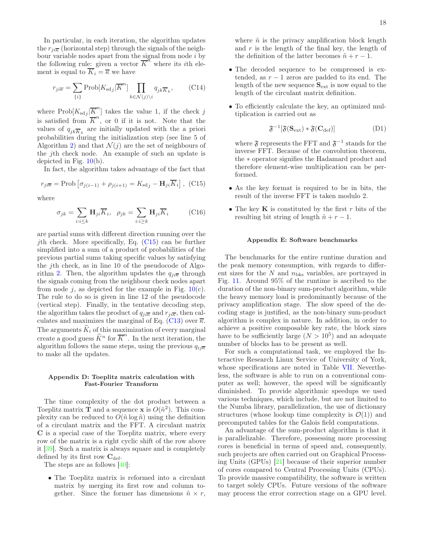In particular, in each iteration, the algorithm updates the  $r_{ii\overline{k}}$  (horizontal step) through the signals of the neighbour variable nodes apart from the signal from node  $i$  by the following rule: given a vector  $\overline{K}^n$  where its *i*th element is equal to  $\overline{K}_i = \overline{\kappa}$  we have

$$
r_{ji\overline{\kappa}} = \sum_{\{i\}} \text{Prob}[K_{\text{sd}j} | \overline{K}^n] \prod_{k \in \mathcal{N}(j) \backslash i} q_{jk\overline{K}_k}, \qquad \text{(C14)}
$$

where  $\text{Prob}[K_{\text{sd}j}|\overline{K}^n]$  takes the value 1, if the check j is satisfied from  $\overline{K}^n$ , or 0 if it is not. Note that the values of  $q_{jk}\overline{K}_k$  are initially updated with the a priori probabilities during the initialization step (see line 5 of Algorithm [2\)](#page-16-2) and that  $\mathcal{N}(j)$  are the set of neighbours of the jth check node. An example of such an update is depicted in Fig.  $10(b)$  $10(b)$ .

In fact, the algorithm takes advantage of the fact that

<span id="page-17-1"></span>
$$
r_{ji\overline{\kappa}} = \text{Prob}\left[\sigma_{j(i-1)} + \rho_{j(i+1)} = K_{sdj} - \mathbf{H}_{ji}\overline{K}_i\right],\tag{C15}
$$

where

$$
\sigma_{jk} = \sum_{i:i \le k} \mathbf{H}_{ji} \overline{K}_i, \quad \rho_{jk} = \sum_{i:i \ge k} \mathbf{H}_{ji} \overline{K}_i \tag{C16}
$$

are partial sums with different direction running over the *j*th check. More specifically, Eq.  $(C15)$  can be further simplified into a sum of a product of probabilities of the previous partial sums taking specific values by satisfying the jth check, as in line 10 of the pseudocode of Algo-rithm [2.](#page-16-2) Then, the algorithm updates the  $q_{ii\overline{k}}$  through the signals coming from the neighbour check nodes apart from node j, as depicted for the example in Fig.  $10(c)$  $10(c)$ . The rule to do so is given in line 12 of the pseudocode (vertical step). Finally, in the tentative decoding step, the algorithm takes the product of  $q_{ji\overline{k}}$  and  $r_{ji\overline{k}}$ , then cal-culates and maximizes the marginal of Eq. [\(C13\)](#page-16-4) over  $\overline{\kappa}$ . The arguments  $\hat{K}_i$  of this maximization of every marginal create a good guess  $\widehat{K}^n$  for  $\overline{K}^n$ . In the next iteration, the algorithm follows the same steps, using the previous  $q_{ij\overline{k}}$ to make all the updates.

## <span id="page-17-0"></span>Appendix D: Toeplitz matrix calculation with Fast-Fourier Transform

The time complexity of the dot product between a Toeplitz matrix  $\hat{\mathbf{T}}$  and a sequence **x** is  $O(\tilde{n}^2)$ . This complexity can be reduced to  $O(\tilde{n} \log \tilde{n})$  using the definition of a circulant matrix and the FFT. A circulant matrix C is a special case of the Toeplitz matrix, where every row of the matrix is a right cyclic shift of the row above it [\[39\]](#page-19-26). Such a matrix is always square and is completely defined by its first row  $C_{\text{def}}$ .

The steps are as follows [\[40\]](#page-19-27):

• The Toeplitz matrix is reformed into a circulant matrix by merging its first row and column together. Since the former has dimensions  $\tilde{n} \times r$ , where  $\tilde{n}$  is the privacy amplification block length and  $r$  is the length of the final key, the length of the definition of the latter becomes  $\tilde{n} + r - 1$ .

- The decoded sequence to be compressed is extended, as  $r - 1$  zeros are padded to its end. The length of the new sequence  $S_{ext}$  is now equal to the length of the circulant matrix definition.
- To efficiently calculate the key, an optimized multiplication is carried out as

$$
\mathfrak{F}^{-1}[\mathfrak{F}(\mathbf{S}_{\text{ext}}) * \mathfrak{F}(\mathbf{C}_{\text{def}})] \tag{D1}
$$

where  $\mathfrak F$  represents the FFT and  $\mathfrak F^{-1}$  stands for the inverse FFT. Because of the convolution theorem, the ∗ operator signifies the Hadamard product and therefore element-wise multiplication can be performed.

- As the key format is required to be in bits, the result of the inverse FFT is taken modulo 2.
- The key  $\bf{K}$  is constituted by the first r bits of the resulting bit string of length  $\tilde{n} + r - 1$ .

## Appendix E: Software benchmarks

The benchmarks for the entire runtime duration and the peak memory consumption, with regards to different sizes for the N and  $n_{\text{bks}}$  variables, are portrayed in Fig. [11.](#page-18-9) Around 95% of the runtime is ascribed to the duration of the non-binary sum-product algorithm, while the heavy memory load is predominantly because of the privacy amplification stage. The slow speed of the decoding stage is justified, as the non-binary sum-product algorithm is complex in nature. In addition, in order to achieve a positive composable key rate, the block sizes have to be sufficiently large  $(N > 10^5)$  and an adequate number of blocks has to be present as well.

For such a computational task, we employed the Interactive Research Linux Service of University of York, whose specifications are noted in Table [VII.](#page-18-10) Nevertheless, the software is able to run on a conventional computer as well; however, the speed will be significantly diminished. To provide algorithmic speedups we used various techniques, which include, but are not limited to the Numba library, parallelization, the use of dictionary structures (whose lookup time complexity is  $\mathcal{O}(1)$ ) and precomputed tables for the Galois field computations.

An advantage of the sum-product algorithm is that it is parallelizable. Therefore, possessing more processing cores is beneficial in terms of speed and, consequently, such projects are often carried out on Graphical Processing Units (GPUs) [\[21](#page-19-9)] because of their superior number of cores compared to Central Processing Units (CPUs). To provide massive compatibility, the software is written to target solely CPUs. Future versions of the software may process the error correction stage on a GPU level.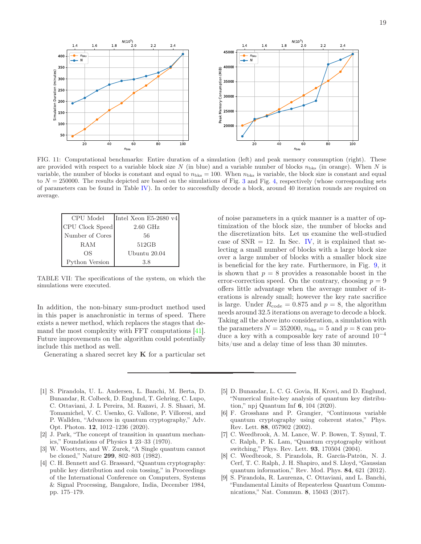

<span id="page-18-9"></span>FIG. 11: Computational benchmarks: Entire duration of a simulation (left) and peak memory consumption (right). These are provided with respect to a variable block size N (in blue) and a variable number of blocks  $n_{\text{bks}}$  (in orange). When N is variable, the number of blocks is constant and equal to  $n_{\text{bks}} = 100$ . When  $n_{\text{bks}}$  is variable, the block size is constant and equal to  $N = 250000$ . The results depicted are based on the simulations of Fig. [3](#page-11-1) and Fig. [4,](#page-11-2) respectively (whose corresponding sets of parameters can be found in Table [IV\)](#page-12-0). In order to successfully decode a block, around 40 iteration rounds are required on average.

| CPU Model       | Intel Xeon E5-2680 $v4$ |
|-----------------|-------------------------|
| CPU Clock Speed | $2.60$ GHz              |
| Number of Cores | 56                      |
| RAM             | 512GB                   |
| OS              | Ubuntu 20.04            |
| Python Version  | 3.8                     |

<span id="page-18-10"></span>TABLE VII: The specifications of the system, on which the simulations were executed.

In addition, the non-binary sum-product method used in this paper is anachronistic in terms of speed. There exists a newer method, which replaces the stages that demand the most complexity with FFT computations [\[41\]](#page-19-28). Future improvements on the algorithm could potentially include this method as well.

Generating a shared secret key  $\bf{K}$  for a particular set

of noise parameters in a quick manner is a matter of optimization of the block size, the number of blocks and the discretization bits. Let us examine the well-studied case of  $SNR = 12$ . In Sec. [IV,](#page-11-0) it is explained that selecting a small number of blocks with a large block size over a large number of blocks with a smaller block size is beneficial for the key rate. Furthermore, in Fig. [9,](#page-14-2) it is shown that  $p = 8$  provides a reasonable boost in the error-correction speed. On the contrary, choosing  $p = 9$ offers little advantage when the average number of iterations is already small; however the key rate sacrifice is large. Under  $R_{code} = 0.875$  and  $p = 8$ , the algorithm needs around 32.5 iterations on average to decode a block. Taking all the above into consideration, a simulation with the parameters  $N = 352000$ ,  $n_{\text{bks}} = 5$  and  $p = 8$  can produce a key with a composable key rate of around  $10^{-4}$ bits/use and a delay time of less than 30 minutes.

- <span id="page-18-0"></span>[1] S. Pirandola, U. L. Andersen, L. Banchi, M. Berta, D. Bunandar, R. Colbeck, D. Englund, T. Gehring, C. Lupo, C. Ottaviani, J. L Pereira, M. Razavi, J. S. Shaari, M. Tomamichel, V. C. Usenko, G. Vallone, P. Villoresi, and P. Wallden, "Advances in quantum cryptography," Adv. Opt. Photon. 12, 1012–1236 (2020).
- <span id="page-18-1"></span>[2] J. Park, "The concept of transition in quantum mechanics," Foundations of Physics 1 23–33 (1970).
- <span id="page-18-2"></span>[3] W. Wootters, and W. Zurek, "A Single quantum cannot be cloned," Nature 299, 802–803 (1982).
- <span id="page-18-3"></span>[4] C. H. Bennett and G. Brassard, "Quantum cryptography: public key distribution and coin tossing," in Proceedings of the International Conference on Computers, Systems & Signal Processing, Bangalore, India, December 1984, pp. 175–179.
- <span id="page-18-4"></span>[5] D. Bunandar, L. C. G. Govia, H. Krovi, and D. Englund, "Numerical finite-key analysis of quantum key distribution," npj Quantum Inf 6, 104 (2020).
- <span id="page-18-5"></span>[6] F. Grosshans and P. Grangier, "Continuous variable quantum cryptography using coherent states," Phys. Rev. Lett. 88, 057902 (2002).
- <span id="page-18-6"></span>[7] C. Weedbrook, A. M. Lance, W. P. Bowen, T. Symul, T. C. Ralph, P. K. Lam, "Quantum cryptography without switching," Phys. Rev. Lett. 93, 170504 (2004).
- <span id="page-18-7"></span>[8] C. Weedbrook, S. Pirandola, R. García-Patrón, N. J. Cerf, T. C. Ralph, J. H. Shapiro, and S. Lloyd, "Gaussian quantum information," Rev. Mod. Phys. 84, 621 (2012).
- <span id="page-18-8"></span>[9] S. Pirandola, R. Laurenza, C. Ottaviani, and L. Banchi, "Fundamental Limits of Repeaterless Quantum Communications," Nat. Commun. 8, 15043 (2017).